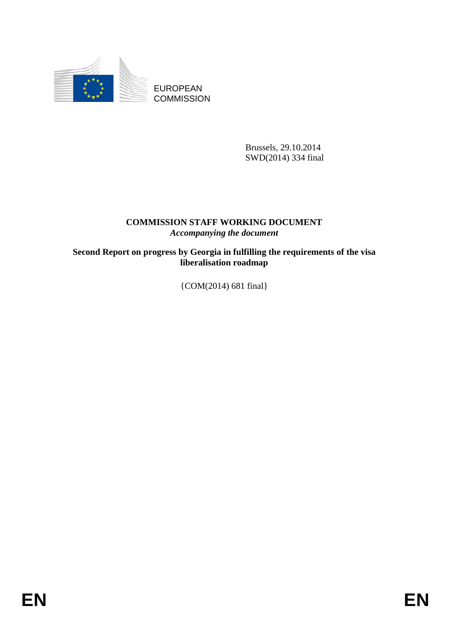

EUROPEAN **COMMISSION** 

> Brussels, 29.10.2014 SWD(2014) 334 final

# **COMMISSION STAFF WORKING DOCUMENT**  *Accompanying the document*

**Second Report on progress by Georgia in fulfilling the requirements of the visa liberalisation roadmap** 

{COM(2014) 681 final}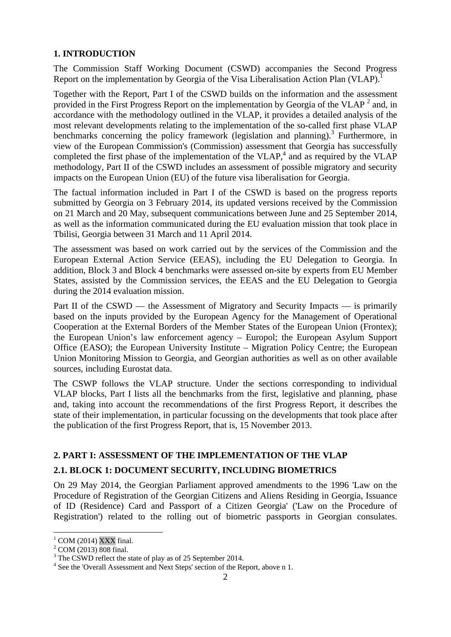# **1. INTRODUCTION**

The Commission Staff Working Document (CSWD) accompanies the Second Progress Report on the implementation by Georgia of the Visa Liberalisation Action Plan (VLAP).

Together with the Report, Part I of the CSWD builds on the information and the assessment provided in the First Progress Report on the implementation by Georgia of the VLAP<sup>2</sup> and, in accordance with the methodology outlined in the VLAP, it provides a detailed analysis of the most relevant developments relating to the implementation of the so-called first phase VLAP benchmarks concerning the policy framework (legislation and planning).<sup>3</sup> Furthermore, in view of the European Commission's (Commission) assessment that Georgia has successfully completed the first phase of the implementation of the VLAP,<sup>4</sup> and as required by the VLAP methodology, Part II of the CSWD includes an assessment of possible migratory and security impacts on the European Union (EU) of the future visa liberalisation for Georgia.

The factual information included in Part I of the CSWD is based on the progress reports submitted by Georgia on 3 February 2014, its updated versions received by the Commission on 21 March and 20 May, subsequent communications between June and 25 September 2014, as well as the information communicated during the EU evaluation mission that took place in Tbilisi, Georgia between 31 March and 11 April 2014.

The assessment was based on work carried out by the services of the Commission and the European External Action Service (EEAS), including the EU Delegation to Georgia. In addition, Block 3 and Block 4 benchmarks were assessed on-site by experts from EU Member States, assisted by the Commission services, the EEAS and the EU Delegation to Georgia during the 2014 evaluation mission.

Part II of the CSWD — the Assessment of Migratory and Security Impacts — is primarily based on the inputs provided by the European Agency for the Management of Operational Cooperation at the External Borders of the Member States of the European Union (Frontex); the European Union's law enforcement agency – Europol; the European Asylum Support Office (EASO); the European University Institute – Migration Policy Centre; the European Union Monitoring Mission to Georgia, and Georgian authorities as well as on other available sources, including Eurostat data.

The CSWP follows the VLAP structure. Under the sections corresponding to individual VLAP blocks, Part I lists all the benchmarks from the first, legislative and planning, phase and, taking into account the recommendations of the first Progress Report, it describes the state of their implementation, in particular focussing on the developments that took place after the publication of the first Progress Report, that is, 15 November 2013.

# **2. PART I: ASSESSMENT OF THE IMPLEMENTATION OF THE VLAP**

# **2.1. BLOCK 1: DOCUMENT SECURITY, INCLUDING BIOMETRICS**

On 29 May 2014, the Georgian Parliament approved amendments to the 1996 'Law on the Procedure of Registration of the Georgian Citizens and Aliens Residing in Georgia, Issuance of ID (Residence) Card and Passport of a Citizen Georgia' ('Law on the Procedure of Registration') related to the rolling out of biometric passports in Georgian consulates.

 $1$  COM (2014) XXX final.

 $^{2}$  COM (2013)  $\overline{808}$  final.

<sup>&</sup>lt;sup>3</sup> The CSWD reflect the state of play as of 25 September 2014.

<sup>&</sup>lt;sup>4</sup> See the 'Overall Assessment and Next Steps' section of the Report, above n 1.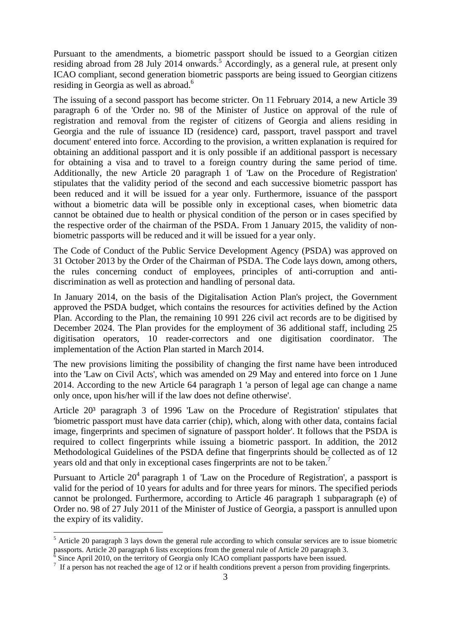Pursuant to the amendments, a biometric passport should be issued to a Georgian citizen residing abroad from 28 July 2014 onwards.<sup>5</sup> Accordingly, as a general rule, at present only ICAO compliant, second generation biometric passports are being issued to Georgian citizens residing in Georgia as well as abroad.<sup>6</sup>

The issuing of a second passport has become stricter. On 11 February 2014, a new Article 39 paragraph 6 of the 'Order no. 98 of the Minister of Justice on approval of the rule of registration and removal from the register of citizens of Georgia and aliens residing in Georgia and the rule of issuance ID (residence) card, passport, travel passport and travel document' entered into force. According to the provision, a written explanation is required for obtaining an additional passport and it is only possible if an additional passport is necessary for obtaining a visa and to travel to a foreign country during the same period of time. Additionally, the new Article 20 paragraph 1 of 'Law on the Procedure of Registration' stipulates that the validity period of the second and each successive biometric passport has been reduced and it will be issued for a year only. Furthermore, issuance of the passport without a biometric data will be possible only in exceptional cases, when biometric data cannot be obtained due to health or physical condition of the person or in cases specified by the respective order of the chairman of the PSDA. From 1 January 2015, the validity of nonbiometric passports will be reduced and it will be issued for a year only.

The Code of Conduct of the Public Service Development Agency (PSDA) was approved on 31 October 2013 by the Order of the Chairman of PSDA. The Code lays down, among others, the rules concerning conduct of employees, principles of anti-corruption and antidiscrimination as well as protection and handling of personal data.

In January 2014, on the basis of the Digitalisation Action Plan's project, the Government approved the PSDA budget, which contains the resources for activities defined by the Action Plan. According to the Plan, the remaining 10 991 226 civil act records are to be digitised by December 2024. The Plan provides for the employment of 36 additional staff, including 25 digitisation operators, 10 reader-correctors and one digitisation coordinator. The implementation of the Action Plan started in March 2014.

The new provisions limiting the possibility of changing the first name have been introduced into the 'Law on Civil Acts', which was amended on 29 May and entered into force on 1 June 2014. According to the new Article 64 paragraph 1 'a person of legal age can change a name only once, upon his/her will if the law does not define otherwise'.

Article 20³ paragraph 3 of 1996 'Law on the Procedure of Registration' stipulates that 'biometric passport must have data carrier (chip), which, along with other data, contains facial image, fingerprints and specimen of signature of passport holder'. It follows that the PSDA is required to collect fingerprints while issuing a biometric passport. In addition, the 2012 Methodological Guidelines of the PSDA define that fingerprints should be collected as of 12 years old and that only in exceptional cases fingerprints are not to be taken.<sup>7</sup>

Pursuant to Article  $20^4$  paragraph 1 of 'Law on the Procedure of Registration', a passport is valid for the period of 10 years for adults and for three years for minors. The specified periods cannot be prolonged. Furthermore, according to Article 46 paragraph 1 subparagraph (e) of Order no. 98 of 27 July 2011 of the Minister of Justice of Georgia, a passport is annulled upon the expiry of its validity.

<sup>&</sup>lt;sup>5</sup> Article 20 paragraph 3 lays down the general rule according to which consular services are to issue biometric passports. Article 20 paragraph 6 lists exceptions from the general rule of Article 20 paragraph 3.

 $6$  Since April 2010, on the territory of Georgia only ICAO compliant passports have been issued.

<sup>&</sup>lt;sup>7</sup> If a person has not reached the age of 12 or if health conditions prevent a person from providing fingerprints.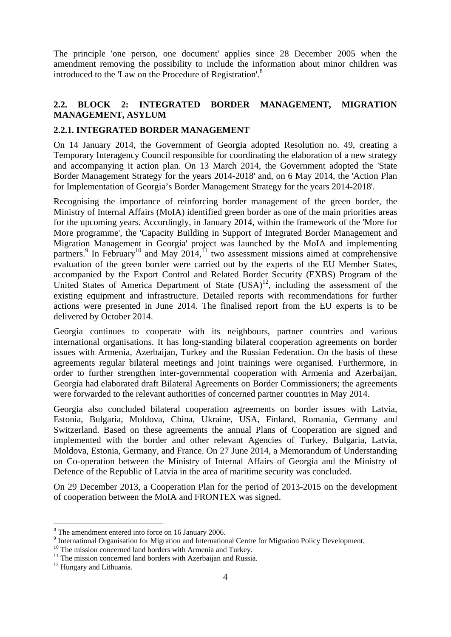The principle 'one person, one document' applies since 28 December 2005 when the amendment removing the possibility to include the information about minor children was introduced to the 'Law on the Procedure of Registration'.8

# **2.2. BLOCK 2: INTEGRATED BORDER MANAGEMENT, MIGRATION MANAGEMENT, ASYLUM**

### **2.2.1. INTEGRATED BORDER MANAGEMENT**

On 14 January 2014, the Government of Georgia adopted Resolution no. 49, creating a Temporary Interagency Council responsible for coordinating the elaboration of a new strategy and accompanying it action plan. On 13 March 2014, the Government adopted the 'State Border Management Strategy for the years 2014-2018' and, on 6 May 2014, the 'Action Plan for Implementation of Georgia's Border Management Strategy for the years 2014-2018'.

Recognising the importance of reinforcing border management of the green border, the Ministry of Internal Affairs (MoIA) identified green border as one of the main priorities areas for the upcoming years. Accordingly, in January 2014, within the framework of the 'More for More programme', the 'Capacity Building in Support of Integrated Border Management and Migration Management in Georgia' project was launched by the MoIA and implementing partners.<sup>9</sup> In February<sup>10</sup> and May 2014,<sup>11</sup> two assessment missions aimed at comprehensive evaluation of the green border were carried out by the experts of the EU Member States, accompanied by the Export Control and Related Border Security (EXBS) Program of the United States of America Department of State (USA)<sup>12</sup>, including the assessment of the existing equipment and infrastructure. Detailed reports with recommendations for further actions were presented in June 2014. The finalised report from the EU experts is to be delivered by October 2014.

Georgia continues to cooperate with its neighbours, partner countries and various international organisations. It has long-standing bilateral cooperation agreements on border issues with Armenia, Azerbaijan, Turkey and the Russian Federation. On the basis of these agreements regular bilateral meetings and joint trainings were organised. Furthermore, in order to further strengthen inter-governmental cooperation with Armenia and Azerbaijan, Georgia had elaborated draft Bilateral Agreements on Border Commissioners; the agreements were forwarded to the relevant authorities of concerned partner countries in May 2014.

Georgia also concluded bilateral cooperation agreements on border issues with Latvia, Estonia, Bulgaria, Moldova, China, Ukraine, USA, Finland, Romania, Germany and Switzerland. Based on these agreements the annual Plans of Cooperation are signed and implemented with the border and other relevant Agencies of Turkey, Bulgaria, Latvia, Moldova, Estonia, Germany, and France. On 27 June 2014, a Memorandum of Understanding on Co-operation between the Ministry of Internal Affairs of Georgia and the Ministry of Defence of the Republic of Latvia in the area of maritime security was concluded.

On 29 December 2013, a Cooperation Plan for the period of 2013-2015 on the development of cooperation between the MoIA and FRONTEX was signed.

<sup>&</sup>lt;sup>8</sup> The amendment entered into force on 16 January 2006.

<sup>&</sup>lt;sup>9</sup> International Organisation for Migration and International Centre for Migration Policy Development.

<sup>&</sup>lt;sup>10</sup> The mission concerned land borders with Armenia and Turkey.

 $11$  The mission concerned land borders with Azerbaijan and Russia.

<sup>&</sup>lt;sup>12</sup> Hungary and Lithuania.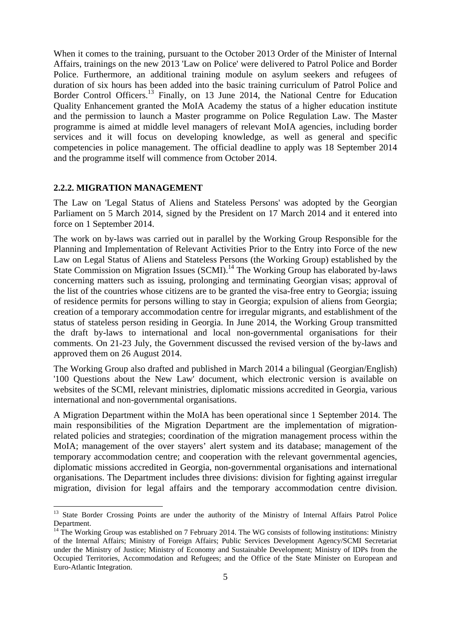When it comes to the training, pursuant to the October 2013 Order of the Minister of Internal Affairs, trainings on the new 2013 'Law on Police' were delivered to Patrol Police and Border Police. Furthermore, an additional training module on asylum seekers and refugees of duration of six hours has been added into the basic training curriculum of Patrol Police and Border Control Officers.<sup>13</sup> Finally, on 13 June 2014, the National Centre for Education Quality Enhancement granted the MoIA Academy the status of a higher education institute and the permission to launch a Master programme on Police Regulation Law. The Master programme is aimed at middle level managers of relevant MoIA agencies, including border services and it will focus on developing knowledge, as well as general and specific competencies in police management. The official deadline to apply was 18 September 2014 and the programme itself will commence from October 2014.

#### **2.2.2. MIGRATION MANAGEMENT**

1

The Law on 'Legal Status of Aliens and Stateless Persons' was adopted by the Georgian Parliament on 5 March 2014, signed by the President on 17 March 2014 and it entered into force on 1 September 2014.

The work on by-laws was carried out in parallel by the Working Group Responsible for the Planning and Implementation of Relevant Activities Prior to the Entry into Force of the new Law on Legal Status of Aliens and Stateless Persons (the Working Group) established by the State Commission on Migration Issues  $(SCMI)<sup>14</sup>$  The Working Group has elaborated by-laws concerning matters such as issuing, prolonging and terminating Georgian visas; approval of the list of the countries whose citizens are to be granted the visa-free entry to Georgia; issuing of residence permits for persons willing to stay in Georgia; expulsion of aliens from Georgia; creation of a temporary accommodation centre for irregular migrants, and establishment of the status of stateless person residing in Georgia. In June 2014, the Working Group transmitted the draft by-laws to international and local non-governmental organisations for their comments. On 21-23 July, the Government discussed the revised version of the by-laws and approved them on 26 August 2014.

The Working Group also drafted and published in March 2014 a bilingual (Georgian/English) '100 Questions about the New Law' document, which electronic version is available on websites of the SCMI, relevant ministries, diplomatic missions accredited in Georgia, various international and non-governmental organisations.

A Migration Department within the MoIA has been operational since 1 September 2014. The main responsibilities of the Migration Department are the implementation of migrationrelated policies and strategies; coordination of the migration management process within the MoIA; management of the over stayers' alert system and its database; management of the temporary accommodation centre; and cooperation with the relevant governmental agencies, diplomatic missions accredited in Georgia, non-governmental organisations and international organisations. The Department includes three divisions: division for fighting against irregular migration, division for legal affairs and the temporary accommodation centre division.

<sup>&</sup>lt;sup>13</sup> State Border Crossing Points are under the authority of the Ministry of Internal Affairs Patrol Police Department.

 $14$  The Working Group was established on 7 February 2014. The WG consists of following institutions: Ministry of the Internal Affairs; Ministry of Foreign Affairs; Public Services Development Agency/SCMI Secretariat under the Ministry of Justice; Ministry of Economy and Sustainable Development; Ministry of IDPs from the Occupied Territories, Accommodation and Refugees; and the Office of the State Minister on European and Euro-Atlantic Integration.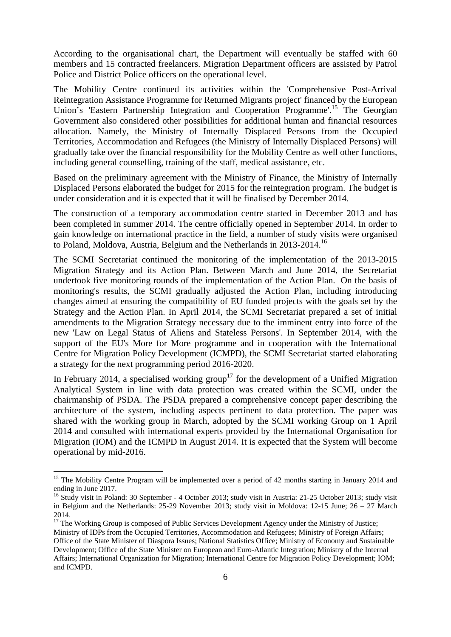According to the organisational chart, the Department will eventually be staffed with 60 members and 15 contracted freelancers. Migration Department officers are assisted by Patrol Police and District Police officers on the operational level.

The Mobility Centre continued its activities within the 'Comprehensive Post-Arrival Reintegration Assistance Programme for Returned Migrants project' financed by the European Union's 'Eastern Partnership Integration and Cooperation Programme'.<sup>15</sup> The Georgian Government also considered other possibilities for additional human and financial resources allocation. Namely, the Ministry of Internally Displaced Persons from the Occupied Territories, Accommodation and Refugees (the Ministry of Internally Displaced Persons) will gradually take over the financial responsibility for the Mobility Centre as well other functions, including general counselling, training of the staff, medical assistance, etc.

Based on the preliminary agreement with the Ministry of Finance, the Ministry of Internally Displaced Persons elaborated the budget for 2015 for the reintegration program. The budget is under consideration and it is expected that it will be finalised by December 2014.

The construction of a temporary accommodation centre started in December 2013 and has been completed in summer 2014. The centre officially opened in September 2014. In order to gain knowledge on international practice in the field, a number of study visits were organised to Poland, Moldova, Austria, Belgium and the Netherlands in 2013-2014.16

The SCMI Secretariat continued the monitoring of the implementation of the 2013-2015 Migration Strategy and its Action Plan. Between March and June 2014, the Secretariat undertook five monitoring rounds of the implementation of the Action Plan. On the basis of monitoring's results, the SCMI gradually adjusted the Action Plan, including introducing changes aimed at ensuring the compatibility of EU funded projects with the goals set by the Strategy and the Action Plan. In April 2014, the SCMI Secretariat prepared a set of initial amendments to the Migration Strategy necessary due to the imminent entry into force of the new 'Law on Legal Status of Aliens and Stateless Persons'. In September 2014, with the support of the EU's More for More programme and in cooperation with the International Centre for Migration Policy Development (ICMPD), the SCMI Secretariat started elaborating a strategy for the next programming period 2016-2020.

In February 2014, a specialised working group<sup>17</sup> for the development of a Unified Migration Analytical System in line with data protection was created within the SCMI, under the chairmanship of PSDA. The PSDA prepared a comprehensive concept paper describing the architecture of the system, including aspects pertinent to data protection. The paper was shared with the working group in March, adopted by the SCMI working Group on 1 April 2014 and consulted with international experts provided by the International Organisation for Migration (IOM) and the ICMPD in August 2014. It is expected that the System will become operational by mid-2016.

<sup>&</sup>lt;sup>15</sup> The Mobility Centre Program will be implemented over a period of 42 months starting in January 2014 and ending in June 2017.

<sup>&</sup>lt;sup>16</sup> Study visit in Poland: 30 September - 4 October 2013; study visit in Austria: 21-25 October 2013; study visit in Belgium and the Netherlands: 25-29 November 2013; study visit in Moldova: 12-15 June; 26 – 27 March 2014.

<sup>&</sup>lt;sup>17</sup> The Working Group is composed of Public Services Development Agency under the Ministry of Justice; Ministry of IDPs from the Occupied Territories, Accommodation and Refugees; Ministry of Foreign Affairs; Office of the State Minister of Diaspora Issues; National Statistics Office; Ministry of Economy and Sustainable Development; Office of the State Minister on European and Euro-Atlantic Integration; Ministry of the Internal Affairs; International Organization for Migration[; Internat](http://www.icmpd.org/)ional Centre for Migration Policy Development; IOM; and ICMPD.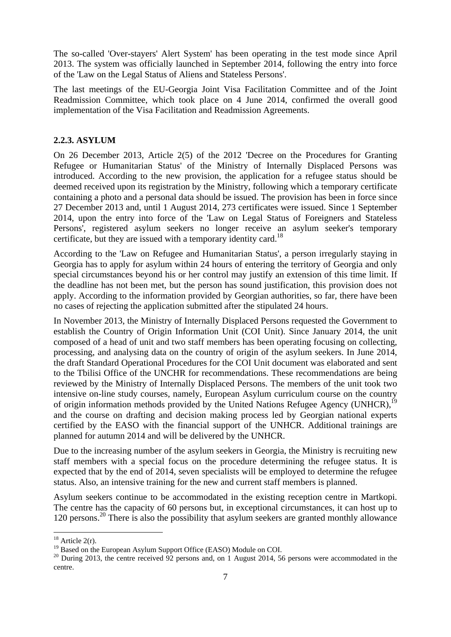The so-called 'Over-stayers' Alert System' has been operating in the test mode since April 2013. The system was officially launched in September 2014, following the entry into force of the 'Law on the Legal Status of Aliens and Stateless Persons'.

The last meetings of the EU-Georgia Joint Visa Facilitation Committee and of the Joint Readmission Committee, which took place on 4 June 2014, confirmed the overall good implementation of the Visa Facilitation and Readmission Agreements.

### **2.2.3. ASYLUM**

On 26 December 2013, Article 2(5) of the 2012 'Decree on the Procedures for Granting Refugee or Humanitarian Status' of the Ministry of Internally Displaced Persons was introduced. According to the new provision, the application for a refugee status should be deemed received upon its registration by the Ministry, following which a temporary certificate containing a photo and a personal data should be issued. The provision has been in force since 27 December 2013 and, until 1 August 2014, 273 certificates were issued. Since 1 September 2014, upon the entry into force of the 'Law on Legal Status of Foreigners and Stateless Persons', registered asylum seekers no longer receive an asylum seeker's temporary certificate, but they are issued with a temporary identity card.<sup>18</sup>

According to the 'Law on Refugee and Humanitarian Status', a person irregularly staying in Georgia has to apply for asylum within 24 hours of entering the territory of Georgia and only special circumstances beyond his or her control may justify an extension of this time limit. If the deadline has not been met, but the person has sound justification, this provision does not apply. According to the information provided by Georgian authorities, so far, there have been no cases of rejecting the application submitted after the stipulated 24 hours.

In November 2013, the Ministry of Internally Displaced Persons requested the Government to establish the Country of Origin Information Unit (COI Unit). Since January 2014, the unit composed of a head of unit and two staff members has been operating focusing on collecting, processing, and analysing data on the country of origin of the asylum seekers. In June 2014, the draft Standard Operational Procedures for the COI Unit document was elaborated and sent to the Tbilisi Office of the UNCHR for recommendations. These recommendations are being reviewed by the Ministry of Internally Displaced Persons. The members of the unit took two intensive on-line study courses, namely, European Asylum curriculum course on the country of origin information methods provided by the United Nations Refugee Agency (UNHCR),<sup>19</sup> and the course on drafting and decision making process led by Georgian national experts certified by the EASO with the financial support of the UNHCR. Additional trainings are planned for autumn 2014 and will be delivered by the UNHCR.

Due to the increasing number of the asylum seekers in Georgia, the Ministry is recruiting new staff members with a special focus on the procedure determining the refugee status. It is expected that by the end of 2014, seven specialists will be employed to determine the refugee status. Also, an intensive training for the new and current staff members is planned.

Asylum seekers continue to be accommodated in the existing reception centre in Martkopi. The centre has the capacity of 60 persons but, in exceptional circumstances, it can host up to 120 persons.20 There is also the possibility that asylum seekers are granted monthly allowance

 $18$  Article 2(r).

<sup>&</sup>lt;sup>19</sup> Based on the European Asylum Support Office (EASO) Module on COI.

 $20$  During 2013, the centre received  $92$  persons and, on 1 August 2014, 56 persons were accommodated in the centre.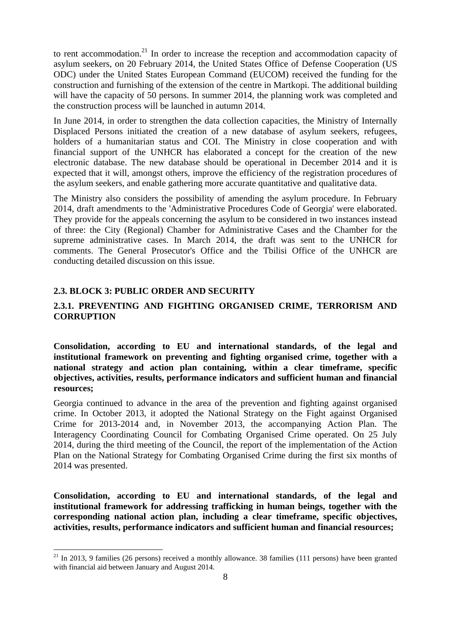to rent accommodation.<sup>21</sup> In order to increase the reception and accommodation capacity of asylum seekers, on 20 February 2014, the United States Office of Defense Cooperation (US ODC) under the United States European Command (EUCOM) received the funding for the construction and furnishing of the extension of the centre in Martkopi. The additional building will have the capacity of 50 persons. In summer 2014, the planning work was completed and the construction process will be launched in autumn 2014.

In June 2014, in order to strengthen the data collection capacities, the Ministry of Internally Displaced Persons initiated the creation of a new database of asylum seekers, refugees, holders of a humanitarian status and COI. The Ministry in close cooperation and with financial support of the UNHCR has elaborated a concept for the creation of the new electronic database. The new database should be operational in December 2014 and it is expected that it will, amongst others, improve the efficiency of the registration procedures of the asylum seekers, and enable gathering more accurate quantitative and qualitative data.

The Ministry also considers the possibility of amending the asylum procedure. In February 2014, draft amendments to the 'Administrative Procedures Code of Georgia' were elaborated. They provide for the appeals concerning the asylum to be considered in two instances instead of three: the City (Regional) Chamber for Administrative Cases and the Chamber for the supreme administrative cases. In March 2014, the draft was sent to the UNHCR for comments. The General Prosecutor's Office and the Tbilisi Office of the UNHCR are conducting detailed discussion on this issue.

#### **2.3. BLOCK 3: PUBLIC ORDER AND SECURITY**

**.** 

### **2.3.1. PREVENTING AND FIGHTING ORGANISED CRIME, TERRORISM AND CORRUPTION**

**Consolidation, according to EU and international standards, of the legal and institutional framework on preventing and fighting organised crime, together with a national strategy and action plan containing, within a clear timeframe, specific objectives, activities, results, performance indicators and sufficient human and financial resources;** 

Georgia continued to advance in the area of the prevention and fighting against organised crime. In October 2013, it adopted the National Strategy on the Fight against Organised Crime for 2013-2014 and, in November 2013, the accompanying Action Plan. The Interagency Coordinating Council for Combating Organised Crime operated. On 25 July 2014, during the third meeting of the Council, the report of the implementation of the Action Plan on the National Strategy for Combating Organised Crime during the first six months of 2014 was presented.

**Consolidation, according to EU and international standards, of the legal and institutional framework for addressing trafficking in human beings, together with the corresponding national action plan, including a clear timeframe, specific objectives, activities, results, performance indicators and sufficient human and financial resources;** 

 $21$  In 2013, 9 families (26 persons) received a monthly allowance. 38 families (111 persons) have been granted with financial aid between January and August 2014.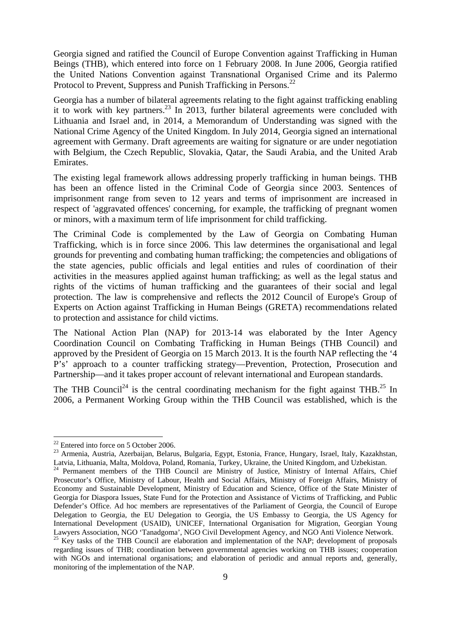Georgia signed and ratified the Council of Europe Convention against Trafficking in Human Beings (THB), which entered into force on 1 February 2008. In June 2006, Georgia ratified the United Nations Convention against Transnational Organised Crime and its Palermo Protocol to Prevent, Suppress and Punish Trafficking in Persons.<sup>22</sup>

Georgia has a number of bilateral agreements relating to the fight against trafficking enabling it to work with key partners.23 In 2013, further bilateral agreements were concluded with Lithuania and Israel and, in 2014, a Memorandum of Understanding was signed with the National Crime Agency of the United Kingdom. In July 2014, Georgia signed an international agreement with Germany. Draft agreements are waiting for signature or are under negotiation with Belgium, the Czech Republic, Slovakia, Qatar, the Saudi Arabia, and the United Arab Emirates.

The existing legal framework allows addressing properly trafficking in human beings. THB has been an offence listed in the Criminal Code of Georgia since 2003. Sentences of imprisonment range from seven to 12 years and terms of imprisonment are increased in respect of 'aggravated offences' concerning, for example, the trafficking of pregnant women or minors, with a maximum term of life imprisonment for child trafficking.

The Criminal Code is complemented by the Law of Georgia on Combating Human Trafficking, which is in force since 2006. This law determines the organisational and legal grounds for preventing and combating human trafficking; the competencies and obligations of the state agencies, public officials and legal entities and rules of coordination of their activities in the measures applied against human trafficking; as well as the legal status and rights of the victims of human trafficking and the guarantees of their social and legal protection. The law is comprehensive and reflects the 2012 Council of Europe's Group of Experts on Action against Trafficking in Human Beings (GRETA) recommendations related to protection and assistance for child victims.

The National Action Plan (NAP) for 2013-14 was elaborated by the Inter Agency Coordination Council on Combating Trafficking in Human Beings (THB Council) and approved by the President of Georgia on 15 March 2013. It is the fourth NAP reflecting the '4 P's' approach to a counter trafficking strategy—Prevention, Protection, Prosecution and Partnership—and it takes proper account of relevant international and European standards.

The THB Council<sup>24</sup> is the central coordinating mechanism for the fight against THB.<sup>25</sup> In 2006, a Permanent Working Group within the THB Council was established, which is the

 $22$  Entered into force on 5 October 2006.

<sup>23</sup> Armenia, Austria, Azerbaijan, Belarus, Bulgaria, Egypt, Estonia, France, Hungary, Israel, Italy, Kazakhstan, Latvia, Lithuania, Malta, Moldova, Poland, Romania, Turkey, Ukraine, the United Kingdom, and Uzbekistan.

<sup>&</sup>lt;sup>24</sup> Permanent members of the THB Council are Ministry of Justice, Ministry of Internal Affairs, Chief Prosecutor's Office, Ministry of Labour, Health and Social Affairs, Ministry of Foreign Affairs, Ministry of Economy and Sustainable Development, Ministry of Education and Science, Office of the State Minister of Georgia for Diaspora Issues, State Fund for the Protection and Assistance of Victims of Trafficking, and Public Defender's Office. Ad hoc members are representatives of the Parliament of Georgia, the Council of Europe Delegation to Georgia, the EU Delegation to Georgia, the US Embassy to Georgia, the US Agency for International Development (USAID), UNICEF, International Organisation for Migration, Georgian Young<br>Lawyers Association, NGO 'Tanadgoma', NGO Civil Development Agency, and NGO Anti Violence Network. <sup>25</sup> Key tasks of the THB Council are elaboration and implementation of the NAP; development of proposals

regarding issues of THB; coordination between governmental agencies working on THB issues; cooperation with NGOs and international organisations; and elaboration of periodic and annual reports and, generally, monitoring of the implementation of the NAP.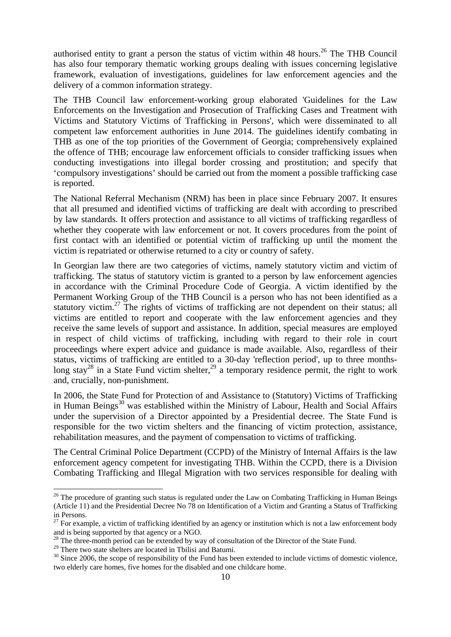authorised entity to grant a person the status of victim within 48 hours.<sup>26</sup> The THB Council has also four temporary thematic working groups dealing with issues concerning legislative framework, evaluation of investigations, guidelines for law enforcement agencies and the delivery of a common information strategy.

The THB Council law enforcement-working group elaborated 'Guidelines for the Law Enforcements on the Investigation and Prosecution of Trafficking Cases and Treatment with Victims and Statutory Victims of Trafficking in Persons', which were disseminated to all competent law enforcement authorities in June 2014. The guidelines identify combating in THB as one of the top priorities of the Government of Georgia; comprehensively explained the offence of THB; encourage law enforcement officials to consider trafficking issues when conducting investigations into illegal border crossing and prostitution; and specify that 'compulsory investigations' should be carried out from the moment a possible trafficking case is reported.

The National Referral Mechanism (NRM) has been in place since February 2007. It ensures that all presumed and identified victims of trafficking are dealt with according to prescribed by law standards. It offers protection and assistance to all victims of trafficking regardless of whether they cooperate with law enforcement or not. It covers procedures from the point of first contact with an identified or potential victim of trafficking up until the moment the victim is repatriated or otherwise returned to a city or country of safety.

In Georgian law there are two categories of victims, namely statutory victim and victim of trafficking. The status of statutory victim is granted to a person by law enforcement agencies in accordance with the Criminal Procedure Code of Georgia. A victim identified by the Permanent Working Group of the THB Council is a person who has not been identified as a statutory victim.<sup>27</sup> The rights of victims of trafficking are not dependent on their status; all victims are entitled to report and cooperate with the law enforcement agencies and they receive the same levels of support and assistance. In addition, special measures are employed in respect of child victims of trafficking, including with regard to their role in court proceedings where expert advice and guidance is made available. Also, regardless of their status, victims of trafficking are entitled to a 30-day 'reflection period', up to three monthslong stay<sup>28</sup> in a State Fund victim shelter,<sup>29</sup> a temporary residence permit, the right to work and, crucially, non-punishment.

In 2006, the State Fund for Protection of and Assistance to (Statutory) Victims of Trafficking in Human Beings<sup>30</sup> was established within the Ministry of Labour, Health and Social Affairs under the supervision of a Director appointed by a Presidential decree. The State Fund is responsible for the two victim shelters and the financing of victim protection, assistance, rehabilitation measures, and the payment of compensation to victims of trafficking.

The Central Criminal Police Department (CCPD) of the Ministry of Internal Affairs is the law enforcement agency competent for investigating THB. Within the CCPD, there is a Division Combating Trafficking and Illegal Migration with two services responsible for dealing with

<sup>&</sup>lt;sup>26</sup> The procedure of granting such status is regulated under the Law on Combating Trafficking in Human Beings (Article 11) and the Presidential Decree No 78 on Identification of a Victim and Granting a Status of Trafficking in Persons.

 $27$  For example, a victim of trafficking identified by an agency or institution which is not a law enforcement body and is being supported by that agency or a NGO.

 $28$  The three-month period can be extended by way of consultation of the Director of the State Fund.

<sup>&</sup>lt;sup>29</sup> There two state shelters are located in Tbilisi and Batumi.

 $30$  Since 2006, the scope of responsibility of the Fund has been extended to include victims of domestic violence, two elderly care homes, five homes for the disabled and one childcare home.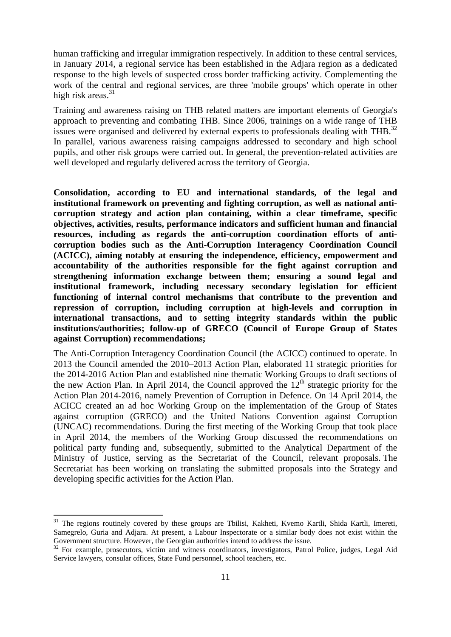human trafficking and irregular immigration respectively. In addition to these central services, in January 2014, a regional service has been established in the Adjara region as a dedicated response to the high levels of suspected cross border trafficking activity. Complementing the work of the central and regional services, are three 'mobile groups' which operate in other high risk areas. $31$ 

Training and awareness raising on THB related matters are important elements of Georgia's approach to preventing and combating THB. Since 2006, trainings on a wide range of THB issues were organised and delivered by external experts to professionals dealing with THB.<sup>32</sup> In parallel, various awareness raising campaigns addressed to secondary and high school pupils, and other risk groups were carried out. In general, the prevention-related activities are well developed and regularly delivered across the territory of Georgia.

**Consolidation, according to EU and international standards, of the legal and institutional framework on preventing and fighting corruption, as well as national anticorruption strategy and action plan containing, within a clear timeframe, specific objectives, activities, results, performance indicators and sufficient human and financial resources, including as regards the anti-corruption coordination efforts of anticorruption bodies such as the Anti-Corruption Interagency Coordination Council (ACICC), aiming notably at ensuring the independence, efficiency, empowerment and accountability of the authorities responsible for the fight against corruption and strengthening information exchange between them; ensuring a sound legal and institutional framework, including necessary secondary legislation for efficient functioning of internal control mechanisms that contribute to the prevention and repression of corruption, including corruption at high-levels and corruption in international transactions, and to setting integrity standards within the public institutions/authorities; follow-up of GRECO (Council of Europe Group of States against Corruption) recommendations;** 

The Anti-Corruption Interagency Coordination Council (the ACICC) continued to operate. In 2013 the Council amended the 2010–2013 Action Plan, elaborated 11 strategic priorities for the 2014-2016 Action Plan and established nine thematic Working Groups to draft sections of the new Action Plan. In April 2014, the Council approved the  $12<sup>th</sup>$  strategic priority for the Action Plan 2014-2016, namely Prevention of Corruption in Defence. On 14 April 2014, the ACICC created an ad hoc Working Group on the implementation of the Group of States against corruption (GRECO) and the United Nations Convention against Corruption (UNCAC) recommendations. During the first meeting of the Working Group that took place in April 2014, the members of the Working Group discussed the recommendations on political party funding and, subsequently, submitted to the Analytical Department of the Ministry of Justice, serving as the Secretariat of the Council, relevant proposals. The Secretariat has been working on translating the submitted proposals into the Strategy and developing specific activities for the Action Plan.

<sup>&</sup>lt;sup>31</sup> The regions routinely covered by these groups are Tbilisi, Kakheti, Kvemo Kartli, Shida Kartli, Imereti, Samegrelo, Guria and Adjara. At present, a Labour Inspectorate or a similar body does not exist within the Government structure. However, the Georgian authorities intend to address the issue.

<sup>&</sup>lt;sup>32</sup> For example, prosecutors, victim and witness coordinators, investigators, Patrol Police, judges, Legal Aid Service lawyers, consular offices, State Fund personnel, school teachers, etc.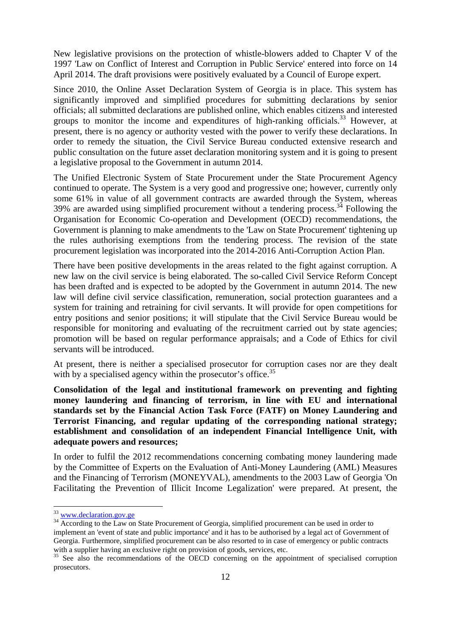New legislative provisions on the protection of whistle-blowers added to Chapter V of the 1997 'Law on Conflict of Interest and Corruption in Public Service' entered into force on 14 April 2014. The draft provisions were positively evaluated by a Council of Europe expert.

Since 2010, the Online Asset Declaration System of Georgia is in place. This system has significantly improved and simplified procedures for submitting declarations by senior officials; all submitted declarations are published online, which enables citizens and interested groups to monitor the income and expenditures of high-ranking officials.<sup>33</sup> However, at present, there is no agency or authority vested with the power to verify these declarations. In order to remedy the situation, the Civil Service Bureau conducted extensive research and public consultation on the future asset declaration monitoring system and it is going to present a legislative proposal to the Government in autumn 2014.

The Unified Electronic System of State Procurement under the State Procurement Agency continued to operate. The System is a very good and progressive one; however, currently only some 61% in value of all government contracts are awarded through the System, whereas 39% are awarded using simplified procurement without a tendering process.<sup>34</sup> Following the Organisation for Economic Co-operation and Development (OECD) recommendations, the Government is planning to make amendments to the 'Law on State Procurement' tightening up the rules authorising exemptions from the tendering process. The revision of the state procurement legislation was incorporated into the 2014-2016 Anti-Corruption Action Plan.

There have been positive developments in the areas related to the fight against corruption. A new law on the civil service is being elaborated. The so-called Civil Service Reform Concept has been drafted and is expected to be adopted by the Government in autumn 2014. The new law will define civil service classification, remuneration, social protection guarantees and a system for training and retraining for civil servants. It will provide for open competitions for entry positions and senior positions; it will stipulate that the Civil Service Bureau would be responsible for monitoring and evaluating of the recruitment carried out by state agencies; promotion will be based on regular performance appraisals; and a Code of Ethics for civil servants will be introduced.

At present, there is neither a specialised prosecutor for corruption cases nor are they dealt with by a specialised agency within the prosecutor's office.<sup>35</sup>

**Consolidation of the legal and institutional framework on preventing and fighting money laundering and financing of terrorism, in line with EU and international standards set by the Financial Action Task Force (FATF) on Money Laundering and Terrorist Financing, and regular updating of the corresponding national strategy; establishment and consolidation of an independent Financial Intelligence Unit, with adequate powers and resources;** 

In order to fulfil the 2012 recommendations concerning combating money laundering made by the Committee of Experts on the Evaluation of Anti-Money Laundering (AML) Measures and the Financing of Terrorism (MONEYVAL), amendments to the 2003 Law of Georgia 'On Facilitating the Prevention of Illicit Income Legalization' were prepared. At present, the

<sup>&</sup>lt;sup>33</sup> www.declaration.gov.ge

<sup>&</sup>lt;sup>34</sup> According to the Law on State Procurement of Georgia, simplified procurement can be used in order to implement an 'event of state and public importance' and it has to be authorised by a legal act of Government of Georgia. Furthermore, simplified procurement can be also resorted to in case of emergency or public contracts with a supplier having an exclusive right on provision of goods, services, etc.

<sup>&</sup>lt;sup>35</sup> See also the recommendations of the OECD concerning on the appointment of specialised corruption prosecutors.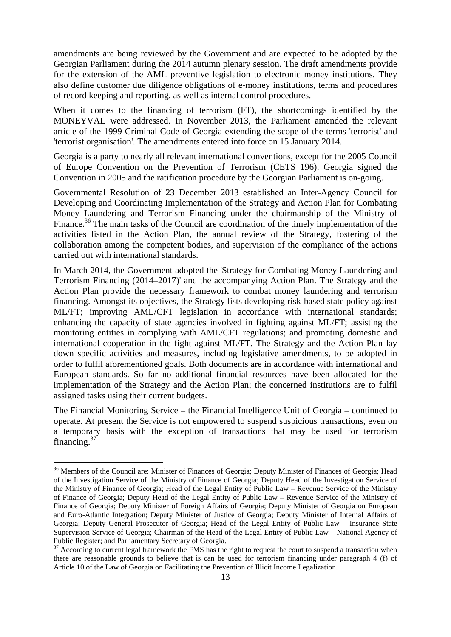amendments are being reviewed by the Government and are expected to be adopted by the Georgian Parliament during the 2014 autumn plenary session. The draft amendments provide for the extension of the AML preventive legislation to electronic money institutions. They also define customer due diligence obligations of e-money institutions, terms and procedures of record keeping and reporting, as well as internal control procedures.

When it comes to the financing of terrorism (FT), the shortcomings identified by the MONEYVAL were addressed. In November 2013, the Parliament amended the relevant article of the 1999 Criminal Code of Georgia extending the scope of the terms 'terrorist' and 'terrorist organisation'. The amendments entered into force on 15 January 2014.

Georgia is a party to nearly all relevant international conventions, except for the 2005 Council of Europe Convention on the Prevention of Terrorism (CETS 196). Georgia signed the Convention in 2005 and the ratification procedure by the Georgian Parliament is on-going.

Governmental Resolution of 23 December 2013 established an Inter-Agency Council for Developing and Coordinating Implementation of the Strategy and Action Plan for Combating Money Laundering and Terrorism Financing under the chairmanship of the Ministry of Finance.<sup>36</sup> The main tasks of the Council are coordination of the timely implementation of the activities listed in the Action Plan, the annual review of the Strategy, fostering of the collaboration among the competent bodies, and supervision of the compliance of the actions carried out with international standards.

In March 2014, the Government adopted the 'Strategy for Combating Money Laundering and Terrorism Financing (2014–2017)' and the accompanying Action Plan. The Strategy and the Action Plan provide the necessary framework to combat money laundering and terrorism financing. Amongst its objectives, the Strategy lists developing risk-based state policy against ML/FT; improving AML/CFT legislation in accordance with international standards; enhancing the capacity of state agencies involved in fighting against ML/FT; assisting the monitoring entities in complying with AML/CFT regulations; and promoting domestic and international cooperation in the fight against ML/FT. The Strategy and the Action Plan lay down specific activities and measures, including legislative amendments, to be adopted in order to fulfil aforementioned goals. Both documents are in accordance with international and European standards. So far no additional financial resources have been allocated for the implementation of the Strategy and the Action Plan; the concerned institutions are to fulfil assigned tasks using their current budgets.

The Financial Monitoring Service – the Financial Intelligence Unit of Georgia – continued to operate. At present the Service is not empowered to suspend suspicious transactions, even on a temporary basis with the exception of transactions that may be used for terrorism financing.<sup>37</sup>

<sup>&</sup>lt;sup>36</sup> Members of the Council are: Minister of Finances of Georgia; Deputy Minister of Finances of Georgia; Head of the Investigation Service of the Ministry of Finance of Georgia; Deputy Head of the Investigation Service of the Ministry of Finance of Georgia; Head of the Legal Entity of Public Law – Revenue Service of the Ministry of Finance of Georgia; Deputy Head of the Legal Entity of Public Law – Revenue Service of the Ministry of Finance of Georgia; Deputy Minister of Foreign Affairs of Georgia; Deputy Minister of Georgia on European and Euro-Atlantic Integration; Deputy Minister of Justice of Georgia; Deputy Minister of Internal Affairs of Georgia; Deputy General Prosecutor of Georgia; Head of the Legal Entity of Public Law – Insurance State Supervision Service of Georgia; Chairman of the Head of the Legal Entity of Public Law – National Agency of Public Register; and Parliamentary Secretary of Georgia.<br><sup>37</sup> According to current legal framework the FMS has the right to request the court to suspend a transaction when

there are reasonable grounds to believe that is can be used for terrorism financing under paragraph 4 (f) of Article 10 of the Law of Georgia on Facilitating the Prevention of Illicit Income Legalization.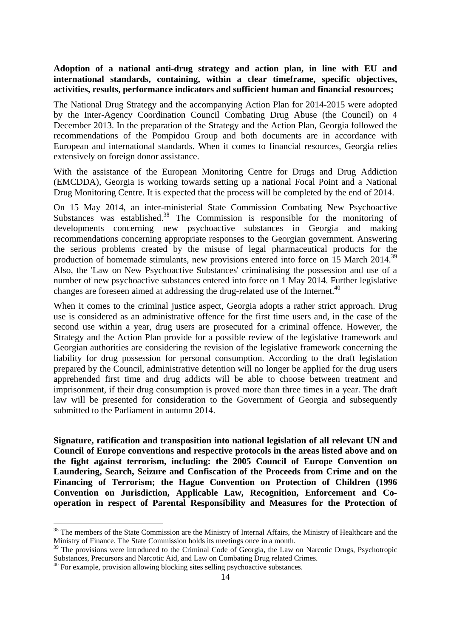### **Adoption of a national anti-drug strategy and action plan, in line with EU and international standards, containing, within a clear timeframe, specific objectives, activities, results, performance indicators and sufficient human and financial resources;**

The National Drug Strategy and the accompanying Action Plan for 2014-2015 were adopted by the Inter-Agency Coordination Council Combating Drug Abuse (the Council) on 4 December 2013. In the preparation of the Strategy and the Action Plan, Georgia followed the recommendations of the Pompidou Group and both documents are in accordance with European and international standards. When it comes to financial resources, Georgia relies extensively on foreign donor assistance.

With the assistance of the European Monitoring Centre for Drugs and Drug Addiction (EMCDDA), Georgia is working towards setting up a national Focal Point and a National Drug Monitoring Centre. It is expected that the process will be completed by the end of 2014.

On 15 May 2014, an inter-ministerial State Commission Combating New Psychoactive Substances was established.<sup>38</sup> The Commission is responsible for the monitoring of developments concerning new psychoactive substances in Georgia and making recommendations concerning appropriate responses to the Georgian government. Answering the serious problems created by the misuse of legal pharmaceutical products for the production of homemade stimulants, new provisions entered into force on 15 March 2014.<sup>39</sup> Also, the 'Law on New Psychoactive Substances' criminalising the possession and use of a number of new psychoactive substances entered into force on 1 May 2014. Further legislative changes are foreseen aimed at addressing the drug-related use of the Internet.<sup>40</sup>

When it comes to the criminal justice aspect, Georgia adopts a rather strict approach. Drug use is considered as an administrative offence for the first time users and, in the case of the second use within a year, drug users are prosecuted for a criminal offence. However, the Strategy and the Action Plan provide for a possible review of the legislative framework and Georgian authorities are considering the revision of the legislative framework concerning the liability for drug possession for personal consumption. According to the draft legislation prepared by the Council, administrative detention will no longer be applied for the drug users apprehended first time and drug addicts will be able to choose between treatment and imprisonment, if their drug consumption is proved more than three times in a year. The draft law will be presented for consideration to the Government of Georgia and subsequently submitted to the Parliament in autumn 2014.

**Signature, ratification and transposition into national legislation of all relevant UN and Council of Europe conventions and respective protocols in the areas listed above and on the fight against terrorism, including: the 2005 Council of Europe Convention on Laundering, Search, Seizure and Confiscation of the Proceeds from Crime and on the Financing of Terrorism; the Hague Convention on Protection of Children (1996 Convention on Jurisdiction, Applicable Law, Recognition, Enforcement and Cooperation in respect of Parental Responsibility and Measures for the Protection of** 

<sup>&</sup>lt;sup>38</sup> The members of the State Commission are the Ministry of Internal Affairs, the Ministry of Healthcare and the Ministry of Finance. The State Commission holds its meetings once in a month.

<sup>&</sup>lt;sup>39</sup> The provisions were introduced to the Criminal Code of Georgia, the Law on Narcotic Drugs, Psychotropic Substances, Precursors and Narcotic Aid, and Law on Combating Drug related Crimes.

<sup>&</sup>lt;sup>40</sup> For example, provision allowing blocking sites selling psychoactive substances.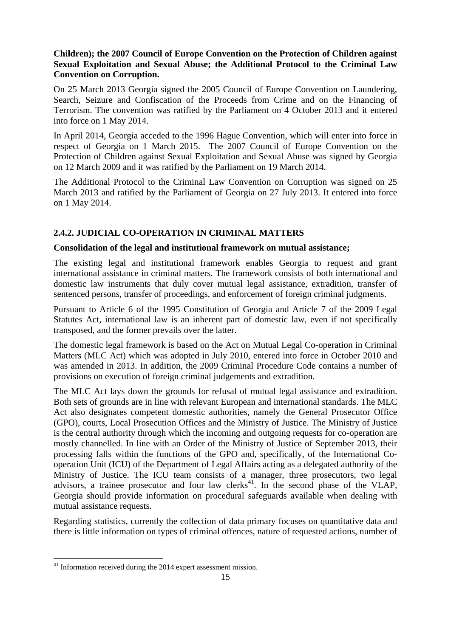# **Children); the 2007 Council of Europe Convention on the Protection of Children against Sexual Exploitation and Sexual Abuse; the Additional Protocol to the Criminal Law Convention on Corruption.**

On 25 March 2013 Georgia signed the 2005 Council of Europe Convention on Laundering, Search, Seizure and Confiscation of the Proceeds from Crime and on the Financing of Terrorism. The convention was ratified by the Parliament on 4 October 2013 and it entered into force on 1 May 2014.

In April 2014, Georgia acceded to the 1996 Hague Convention, which will enter into force in respect of Georgia on 1 March 2015. The 2007 Council of Europe Convention on the Protection of Children against Sexual Exploitation and Sexual Abuse was signed by Georgia on 12 March 2009 and it was ratified by the Parliament on 19 March 2014.

The Additional Protocol to the Criminal Law Convention on Corruption was signed on 25 March 2013 and ratified by the Parliament of Georgia on 27 July 2013. It entered into force on 1 May 2014.

# **2.4.2. JUDICIAL CO-OPERATION IN CRIMINAL MATTERS**

### **Consolidation of the legal and institutional framework on mutual assistance;**

The existing legal and institutional framework enables Georgia to request and grant international assistance in criminal matters. The framework consists of both international and domestic law instruments that duly cover mutual legal assistance, extradition, transfer of sentenced persons, transfer of proceedings, and enforcement of foreign criminal judgments.

Pursuant to Article 6 of the 1995 Constitution of Georgia and Article 7 of the 2009 Legal Statutes Act, international law is an inherent part of domestic law, even if not specifically transposed, and the former prevails over the latter.

The domestic legal framework is based on the Act on Mutual Legal Co-operation in Criminal Matters (MLC Act) which was adopted in July 2010, entered into force in October 2010 and was amended in 2013. In addition, the 2009 Criminal Procedure Code contains a number of provisions on execution of foreign criminal judgements and extradition.

The MLC Act lays down the grounds for refusal of mutual legal assistance and extradition. Both sets of grounds are in line with relevant European and international standards. The MLC Act also designates competent domestic authorities, namely the General Prosecutor Office (GPO), courts, Local Prosecution Offices and the Ministry of Justice. The Ministry of Justice is the central authority through which the incoming and outgoing requests for co-operation are mostly channelled. In line with an Order of the Ministry of Justice of September 2013, their processing falls within the functions of the GPO and, specifically, of the International Cooperation Unit (ICU) of the Department of Legal Affairs acting as a delegated authority of the Ministry of Justice. The ICU team consists of a manager, three prosecutors, two legal advisors, a trainee prosecutor and four law clerks<sup>41</sup>. In the second phase of the VLAP, Georgia should provide information on procedural safeguards available when dealing with mutual assistance requests.

Regarding statistics, currently the collection of data primary focuses on quantitative data and there is little information on types of criminal offences, nature of requested actions, number of

 $41$  Information received during the 2014 expert assessment mission.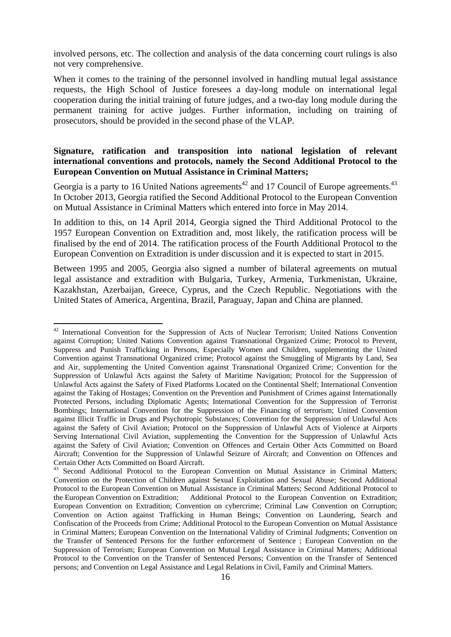involved persons, etc. The collection and analysis of the data concerning court rulings is also not very comprehensive.

When it comes to the training of the personnel involved in handling mutual legal assistance requests, the High School of Justice foresees a day-long module on international legal cooperation during the initial training of future judges, and a two-day long module during the permanent training for active judges. Further information, including on training of prosecutors, should be provided in the second phase of the VLAP.

# **Signature, ratification and transposition into national legislation of relevant international conventions and protocols, namely the Second Additional Protocol to the European Convention on Mutual Assistance in Criminal Matters;**

Georgia is a party to 16 United Nations agreements<sup>42</sup> and 17 Council of Europe agreements.<sup>43</sup> In October 2013, Georgia ratified the Second Additional Protocol to the European Convention on Mutual Assistance in Criminal Matters which entered into force in May 2014.

In addition to this, on 14 April 2014, Georgia signed the Third Additional Protocol to the 1957 European Convention on Extradition and, most likely, the ratification process will be finalised by the end of 2014. The ratification process of the Fourth Additional Protocol to the European Convention on Extradition is under discussion and it is expected to start in 2015.

Between 1995 and 2005, Georgia also signed a number of bilateral agreements on mutual legal assistance and extradition with Bulgaria, Turkey, Armenia, Turkmenistan, Ukraine, Kazakhstan, Azerbaijan, Greece, Cyprus, and the Czech Republic. Negotiations with the United States of America, Argentina, Brazil, Paraguay, Japan and China are planned.

<sup>&</sup>lt;sup>42</sup> International Convention for the Suppression of Acts of Nuclear Terrorism; United Nations Convention against Corruption; United Nations Convention against Transnational Organized Crime; Protocol to Prevent, Suppress and Punish Trafficking in Persons, Especially Women and Children, supplementing the United Convention against Transnational Organized crime; Protocol against the Smuggling of Migrants by Land, Sea and Air, supplementing the United Convention against Transnational Organized Crime; Convention for the Suppression of Unlawful Acts against the Safety of Maritime Navigation; Protocol for the Suppression of Unlawful Acts against the Safety of Fixed Platforms Located on the Continental Shelf; International Convention against the Taking of Hostages; Convention on the Prevention and Punishment of Crimes against Internationally Protected Persons, including Diplomatic Agents; International Convention for the Suppression of Terrorist Bombings; International Convention for the Suppression of the Financing of terrorism; United Convention against Illicit Traffic in Drugs and Psychotropic Substances; Convention for the Suppression of Unlawful Acts against the Safety of Civil Aviation; Protocol on the Suppression of Unlawful Acts of Violence at Airports Serving International Civil Aviation, supplementing the Convention for the Suppression of Unlawful Acts against the Safety of Civil Aviation; Convention on Offences and Certain Other Acts Committed on Board Aircraft; Convention for the Suppression of Unlawful Seizure of Aircraft; and Convention on Offences and Certain Other Acts Committed on Board Aircraft.

<sup>&</sup>lt;sup>43</sup> Second Additional Protocol to the European Convention on Mutual Assistance in Criminal Matters; Convention on the Protection of Children against Sexual Exploitation and Sexual Abuse; Second Additional Protocol to the European Convention on Mutual Assistance in Criminal Matters; Second Additional Protocol to the European Convention on Extradition; Additional Protocol to the European Convention on Extradition; European Convention on Extradition; Convention on cybercrime; Criminal Law Convention on Corruption; Convention on Action against Trafficking in Human Beings; Convention on Laundering, Search and Confiscation of the Proceeds from Crime; Additional Protocol to the European Convention on Mutual Assistance in Criminal Matters; European Convention on the International Validity of Criminal Judgments; Convention on the Transfer of Sentenced Persons for the further enforcement of Sentence ; European Convention on the Suppression of Terrorism; European Convention on Mutual Legal Assistance in Criminal Matters; Additional Protocol to the Convention on the Transfer of Sentenced Persons; Convention on the Transfer of Sentenced persons; and Convention on Legal Assistance and Legal Relations in Civil, Family and Criminal Matters.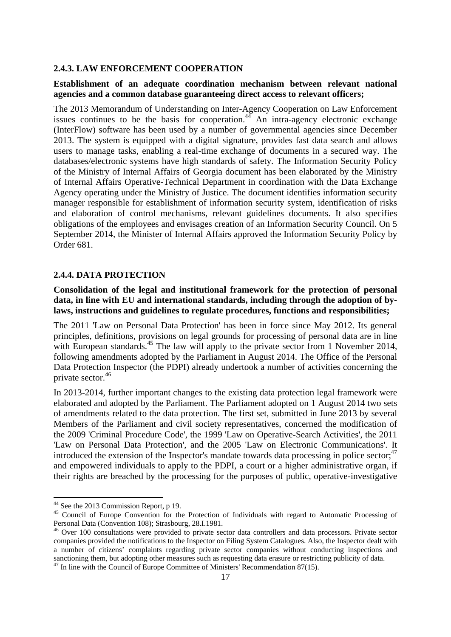#### **2.4.3. LAW ENFORCEMENT COOPERATION**

### **Establishment of an adequate coordination mechanism between relevant national agencies and a common database guaranteeing direct access to relevant officers;**

The 2013 Memorandum of Understanding on Inter-Agency Cooperation on Law Enforcement issues continues to be the basis for cooperation.<sup>44</sup> An intra-agency electronic exchange (InterFlow) software has been used by a number of governmental agencies since December 2013. The system is equipped with a digital signature, provides fast data search and allows users to manage tasks, enabling a real-time exchange of documents in a secured way. The databases/electronic systems have high standards of safety. The Information Security Policy of the Ministry of Internal Affairs of Georgia document has been elaborated by the Ministry of Internal Affairs Operative-Technical Department in coordination with the Data Exchange Agency operating under the Ministry of Justice. The document identifies information security manager responsible for establishment of information security system, identification of risks and elaboration of control mechanisms, relevant guidelines documents. It also specifies obligations of the employees and envisages creation of an Information Security Council. On 5 September 2014, the Minister of Internal Affairs approved the Information Security Policy by Order 681.

#### **2.4.4. DATA PROTECTION**

**Consolidation of the legal and institutional framework for the protection of personal data, in line with EU and international standards, including through the adoption of bylaws, instructions and guidelines to regulate procedures, functions and responsibilities;** 

The 2011 'Law on Personal Data Protection' has been in force since May 2012. Its general principles, definitions, provisions on legal grounds for processing of personal data are in line with European standards.<sup>45</sup> The law will apply to the private sector from 1 November 2014, following amendments adopted by the Parliament in August 2014. The Office of the Personal Data Protection Inspector (the PDPI) already undertook a number of activities concerning the private sector.46

In 2013-2014, further important changes to the existing data protection legal framework were elaborated and adopted by the Parliament. The Parliament adopted on 1 August 2014 two sets of amendments related to the data protection. The first set, submitted in June 2013 by several Members of the Parliament and civil society representatives, concerned the modification of the 2009 'Criminal Procedure Code', the 1999 'Law on Operative-Search Activities', the 2011 'Law on Personal Data Protection', and the 2005 'Law on Electronic Communications'. It introduced the extension of the Inspector's mandate towards data processing in police sector; $47$ and empowered individuals to apply to the PDPI, a court or a higher administrative organ, if their rights are breached by the processing for the purposes of public, operative-investigative

<sup>&</sup>lt;sup>44</sup> See the 2013 Commission Report, p 19.

<sup>&</sup>lt;sup>45</sup> Council of Europe Convention for the Protection of Individuals with regard to Automatic Processing of Personal Data (Convention 108); Strasbourg, 28.I.1981.

<sup>&</sup>lt;sup>46</sup> Over 100 consultations were provided to private sector data controllers and data processors. Private sector companies provided the notifications to the Inspector on Filing System Catalogues. Also, the Inspector dealt with a number of citizens' complaints regarding private sector companies without conducting inspections and sanctioning them, but adopting other measures such as requesting data erasure or restricting publicity of data.

 $47$  In line with the Council of Europe Committee of Ministers' Recommendation 87(15).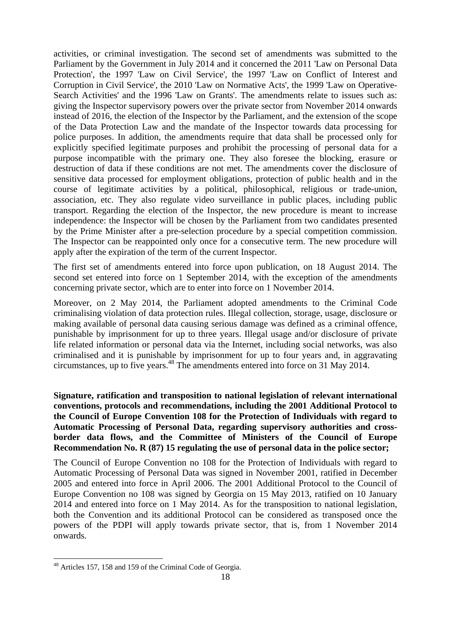activities, or criminal investigation. The second set of amendments was submitted to the Parliament by the Government in July 2014 and it concerned the 2011 'Law on Personal Data Protection', the 1997 'Law on Civil Service', the 1997 'Law on Conflict of Interest and Corruption in Civil Service', the 2010 'Law on Normative Acts', the 1999 'Law on Operative-Search Activities' and the 1996 'Law on Grants'. The amendments relate to issues such as: giving the Inspector supervisory powers over the private sector from November 2014 onwards instead of 2016, the election of the Inspector by the Parliament, and the extension of the scope of the Data Protection Law and the mandate of the Inspector towards data processing for police purposes. In addition, the amendments require that data shall be processed only for explicitly specified legitimate purposes and prohibit the processing of personal data for a purpose incompatible with the primary one. They also foresee the blocking, erasure or destruction of data if these conditions are not met. The amendments cover the disclosure of sensitive data processed for employment obligations, protection of public health and in the course of legitimate activities by a political, philosophical, religious or trade-union, association, etc. They also regulate video surveillance in public places, including public transport. Regarding the election of the Inspector, the new procedure is meant to increase independence: the Inspector will be chosen by the Parliament from two candidates presented by the Prime Minister after a pre-selection procedure by a special competition commission. The Inspector can be reappointed only once for a consecutive term. The new procedure will apply after the expiration of the term of the current Inspector.

The first set of amendments entered into force upon publication, on 18 August 2014. The second set entered into force on 1 September 2014, with the exception of the amendments concerning private sector, which are to enter into force on 1 November 2014.

Moreover, on 2 May 2014, the Parliament adopted amendments to the Criminal Code criminalising violation of data protection rules. Illegal collection, storage, usage, disclosure or making available of personal data causing serious damage was defined as a criminal offence, punishable by imprisonment for up to three years. Illegal usage and/or disclosure of private life related information or personal data via the Internet, including social networks, was also criminalised and it is punishable by imprisonment for up to four years and, in aggravating circumstances, up to five years.48 The amendments entered into force on 31 May 2014.

**Signature, ratification and transposition to national legislation of relevant international conventions, protocols and recommendations, including the 2001 Additional Protocol to the Council of Europe Convention 108 for the Protection of Individuals with regard to Automatic Processing of Personal Data, regarding supervisory authorities and crossborder data flows, and the Committee of Ministers of the Council of Europe Recommendation No. R (87) 15 regulating the use of personal data in the police sector;** 

The Council of Europe Convention no 108 for the Protection of Individuals with regard to Automatic Processing of Personal Data was signed in November 2001, ratified in December 2005 and entered into force in April 2006. The 2001 Additional Protocol to the Council of Europe Convention no 108 was signed by Georgia on 15 May 2013, ratified on 10 January 2014 and entered into force on 1 May 2014. As for the transposition to national legislation, both the Convention and its additional Protocol can be considered as transposed once the powers of the PDPI will apply towards private sector, that is, from 1 November 2014 onwards.

<sup>&</sup>lt;sup>48</sup> Articles 157, 158 and 159 of the Criminal Code of Georgia.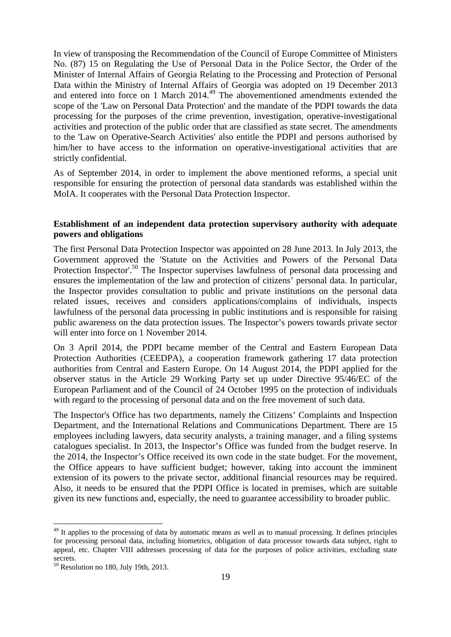In view of transposing the Recommendation of the Council of Europe Committee of Ministers No. (87) 15 on Regulating the Use of Personal Data in the Police Sector, the Order of the Minister of Internal Affairs of Georgia Relating to the Processing and Protection of Personal Data within the Ministry of Internal Affairs of Georgia was adopted on 19 December 2013 and entered into force on 1 March 2014.<sup>49</sup> The abovementioned amendments extended the scope of the 'Law on Personal Data Protection' and the mandate of the PDPI towards the data processing for the purposes of the crime prevention, investigation, operative-investigational activities and protection of the public order that are classified as state secret. The amendments to the 'Law on Operative-Search Activities' also entitle the PDPI and persons authorised by him/her to have access to the information on operative-investigational activities that are strictly confidential.

As of September 2014, in order to implement the above mentioned reforms, a special unit responsible for ensuring the protection of personal data standards was established within the MoIA. It cooperates with the Personal Data Protection Inspector.

### **Establishment of an independent data protection supervisory authority with adequate powers and obligations**

The first Personal Data Protection Inspector was appointed on 28 June 2013. In July 2013, the Government approved the 'Statute on the Activities and Powers of the Personal Data Protection Inspector'.<sup>50</sup> The Inspector supervises lawfulness of personal data processing and ensures the implementation of the law and protection of citizens' personal data. In particular, the Inspector provides consultation to public and private institutions on the personal data related issues, receives and considers applications/complains of individuals, inspects lawfulness of the personal data processing in public institutions and is responsible for raising public awareness on the data protection issues. The Inspector's powers towards private sector will enter into force on 1 November 2014.

On 3 April 2014, the PDPI became member of the Central and Eastern European Data Protection Authorities (CEEDPA), a cooperation framework gathering 17 data protection authorities from Central and Eastern Europe. On 14 August 2014, the PDPI applied for the observer status in the Article 29 Working Party set up under Directive 95/46/EC of the European Parliament and of the Council of 24 October 1995 on the protection of individuals with regard to the processing of personal data and on the free movement of such data.

The Inspector's Office has two departments, namely the Citizens' Complaints and Inspection Department, and the International Relations and Communications Department. There are 15 employees including lawyers, data security analysts, a training manager, and a filing systems catalogues specialist. In 2013, the Inspector's Office was funded from the budget reserve. In the 2014, the Inspector's Office received its own code in the state budget. For the movement, the Office appears to have sufficient budget; however, taking into account the imminent extension of its powers to the private sector, additional financial resources may be required. Also, it needs to be ensured that the PDPI Office is located in premises, which are suitable given its new functions and, especially, the need to guarantee accessibility to broader public.

<sup>&</sup>lt;sup>49</sup> It applies to the processing of data by automatic means as well as to manual processing. It defines principles for processing personal data, including biometrics, obligation of data processor towards data subject, right to appeal, etc. Chapter VIII addresses processing of data for the purposes of police activities, excluding state secrets.

<sup>50</sup> Resolution no 180, July 19th, 2013.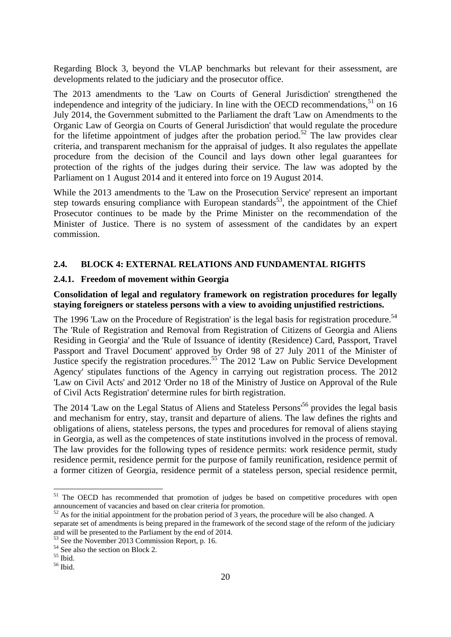Regarding Block 3, beyond the VLAP benchmarks but relevant for their assessment, are developments related to the judiciary and the prosecutor office.

The 2013 amendments to the 'Law on Courts of General Jurisdiction' strengthened the independence and integrity of the judiciary. In line with the OECD recommendations,  $51$  on 16 July 2014, the Government submitted to the Parliament the draft 'Law on Amendments to the Organic Law of Georgia on Courts of General Jurisdiction' that would regulate the procedure for the lifetime appointment of judges after the probation period.<sup>52</sup> The law provides clear criteria, and transparent mechanism for the appraisal of judges. It also regulates the appellate procedure from the decision of the Council and lays down other legal guarantees for protection of the rights of the judges during their service. The law was adopted by the Parliament on 1 August 2014 and it entered into force on 19 August 2014.

While the 2013 amendments to the 'Law on the Prosecution Service' represent an important step towards ensuring compliance with European standards<sup>53</sup>, the appointment of the Chief Prosecutor continues to be made by the Prime Minister on the recommendation of the Minister of Justice. There is no system of assessment of the candidates by an expert commission.

### **2.4. BLOCK 4: EXTERNAL RELATIONS AND FUNDAMENTAL RIGHTS**

#### **2.4.1. Freedom of movement within Georgia**

# **Consolidation of legal and regulatory framework on registration procedures for legally staying foreigners or stateless persons with a view to avoiding unjustified restrictions.**

The 1996 'Law on the Procedure of Registration' is the legal basis for registration procedure.<sup>54</sup> The 'Rule of Registration and Removal from Registration of Citizens of Georgia and Aliens Residing in Georgia' and the 'Rule of Issuance of identity (Residence) Card, Passport, Travel Passport and Travel Document' approved by Order 98 of 27 July 2011 of the Minister of Justice specify the registration procedures.55 The 2012 'Law on Public Service Development Agency' stipulates functions of the Agency in carrying out registration process. The 2012 'Law on Civil Acts' and 2012 'Order no 18 of the Ministry of Justice on Approval of the Rule of Civil Acts Registration' determine rules for birth registration.

The 2014 'Law on the Legal Status of Aliens and Stateless Persons<sup>56</sup> provides the legal basis and mechanism for entry, stay, transit and departure of aliens. The law defines the rights and obligations of aliens, stateless persons, the types and procedures for removal of aliens staying in Georgia, as well as the competences of state institutions involved in the process of removal. The law provides for the following types of residence permits: work residence permit, study residence permit, residence permit for the purpose of family reunification, residence permit of a former citizen of Georgia, residence permit of a stateless person, special residence permit,

<sup>&</sup>lt;sup>51</sup> The OECD has recommended that promotion of judges be based on competitive procedures with open announcement of vacancies and based on clear criteria for promotion.<br><sup>52</sup> As for the initial appointment for the probation period of 3 years, the procedure will be also changed. A

separate set of amendments is being prepared in the framework of the second stage of the reform of the judiciary and will be presented to the Parliament by the end of 2014.

See the November 2013 Commission Report, p. 16.

<sup>54</sup> See also the section on Block 2.

<sup>55</sup> Ibid.

<sup>56</sup> Ibid.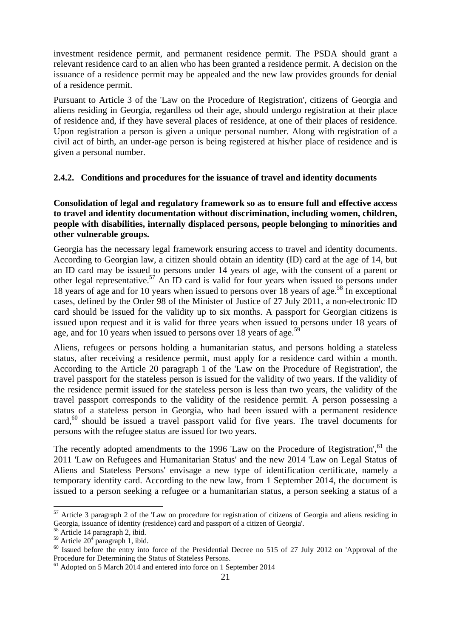investment residence permit, and permanent residence permit. The PSDA should grant a relevant residence card to an alien who has been granted a residence permit. A decision on the issuance of a residence permit may be appealed and the new law provides grounds for denial of a residence permit.

Pursuant to Article 3 of the 'Law on the Procedure of Registration', citizens of Georgia and aliens residing in Georgia, regardless od their age, should undergo registration at their place of residence and, if they have several places of residence, at one of their places of residence. Upon registration a person is given a unique personal number. Along with registration of a civil act of birth, an under-age person is being registered at his/her place of residence and is given a personal number.

# **2.4.2. Conditions and procedures for the issuance of travel and identity documents**

**Consolidation of legal and regulatory framework so as to ensure full and effective access to travel and identity documentation without discrimination, including women, children, people with disabilities, internally displaced persons, people belonging to minorities and other vulnerable groups.** 

Georgia has the necessary legal framework ensuring access to travel and identity documents. According to Georgian law, a citizen should obtain an identity (ID) card at the age of 14, but an ID card may be issued to persons under 14 years of age, with the consent of a parent or other legal representative.<sup>57</sup> An ID card is valid for four years when issued to persons under 18 years of age and for 10 years when issued to persons over 18 years of age.<sup>58</sup> In exceptional cases, defined by the Order 98 of the Minister of Justice of 27 July 2011, a non-electronic ID card should be issued for the validity up to six months. A passport for Georgian citizens is issued upon request and it is valid for three years when issued to persons under 18 years of age, and for 10 years when issued to persons over 18 years of age.<sup>59</sup>

Aliens, refugees or persons holding a humanitarian status, and persons holding a stateless status, after receiving a residence permit, must apply for a residence card within a month. According to the Article 20 paragraph 1 of the 'Law on the Procedure of Registration', the travel passport for the stateless person is issued for the validity of two years. If the validity of the residence permit issued for the stateless person is less than two years, the validity of the travel passport corresponds to the validity of the residence permit. A person possessing a status of a stateless person in Georgia, who had been issued with a permanent residence card,<sup>60</sup> should be issued a travel passport valid for five years. The travel documents for persons with the refugee status are issued for two years.

The recently adopted amendments to the 1996 'Law on the Procedure of Registration', $61$  the 2011 'Law on Refugees and Humanitarian Status' and the new 2014 'Law on Legal Status of Aliens and Stateless Persons' envisage a new type of identification certificate, namely a temporary identity card. According to the new law, from 1 September 2014, the document is issued to a person seeking a refugee or a humanitarian status, a person seeking a status of a

 $57$  Article 3 paragraph 2 of the 'Law on procedure for registration of citizens of Georgia and aliens residing in Georgia, issuance of identity (residence) card and passport of a citizen of Georgia'.

<sup>58</sup> Article 14 paragraph 2, ibid.

 $59$  Article  $20<sup>4</sup>$  paragraph 1, ibid.

 $60$  Issued before the entry into force of the Presidential Decree no 515 of 27 July 2012 on 'Approval of the Procedure for Determining the Status of Stateless Persons.

 $61$  Adopted on 5 March 2014 and entered into force on 1 September 2014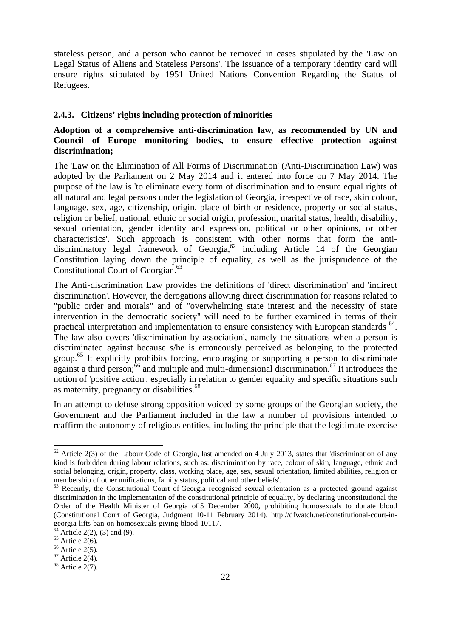stateless person, and a person who cannot be removed in cases stipulated by the 'Law on Legal Status of Aliens and Stateless Persons'. The issuance of a temporary identity card will ensure rights stipulated by 1951 United Nations Convention Regarding the Status of Refugees.

### **2.4.3. Citizens' rights including protection of minorities**

# **Adoption of a comprehensive anti-discrimination law, as recommended by UN and Council of Europe monitoring bodies, to ensure effective protection against discrimination;**

The 'Law on the Elimination of All Forms of Discrimination' (Anti-Discrimination Law) was adopted by the Parliament on 2 May 2014 and it entered into force on 7 May 2014. The purpose of the law is 'to eliminate every form of discrimination and to ensure equal rights of all natural and legal persons under the legislation of Georgia, irrespective of race, skin colour, language, sex, age, citizenship, origin, place of birth or residence, property or social status, religion or belief, national, ethnic or social origin, profession, marital status, health, disability, sexual orientation, gender identity and expression, political or other opinions, or other characteristics'. Such approach is consistent with other norms that form the antidiscriminatory legal framework of Georgia, $62$  including Article 14 of the Georgian Constitution laying down the principle of equality, as well as the jurisprudence of the Constitutional Court of Georgian.<sup>63</sup>

The Anti-discrimination Law provides the definitions of 'direct discrimination' and 'indirect discrimination'. However, the derogations allowing direct discrimination for reasons related to "public order and morals" and of "overwhelming state interest and the necessity of state intervention in the democratic society" will need to be further examined in terms of their practical interpretation and implementation to ensure consistency with European standards <sup>64</sup>. The law also covers 'discrimination by association', namely the situations when a person is discriminated against because s/he is erroneously perceived as belonging to the protected group.<sup>65</sup> It explicitly prohibits forcing, encouraging or supporting a person to discriminate against a third person; $\frac{6}{6}$  and multiple and multi-dimensional discrimination.<sup>67</sup> It introduces the notion of 'positive action', especially in relation to gender equality and specific situations such as maternity, pregnancy or disabilities.<sup>68</sup>

In an attempt to defuse strong opposition voiced by some groups of the Georgian society, the Government and the Parliament included in the law a number of provisions intended to reaffirm the autonomy of religious entities, including the principle that the legitimate exercise

 $62$  Article 2(3) of the Labour Code of Georgia, last amended on 4 July 2013, states that 'discrimination of any kind is forbidden during labour relations, such as: discrimination by race, colour of skin, language, ethnic and social belonging, origin, property, class, working place, age, sex, sexual orientation, limited abilities, religion or membership of other unifications, family status, political and other beliefs'.

<sup>&</sup>lt;sup>63</sup> Recently, the Constitutional Court of Georgia recognised sexual orientation as a protected ground against discrimination in the implementation of the constitutional principle of equality, by declaring unconstitutional the Order of the Health Minister of Georgia of 5 December 2000, prohibiting homosexuals to donate blood (Constitutional Court of Georgia, Judgment 10-11 February 2014). http://dfwatch.net/constitutional-court-ingeorgia-lifts-ban-on-homosexuals-giving-blood-10117.

 $64$  Article 2(2), (3) and (9).

 $65$  Article 2(6).

 $66$  Article 2(5).

 $67$  Article 2(4).

 $68$  Article 2(7).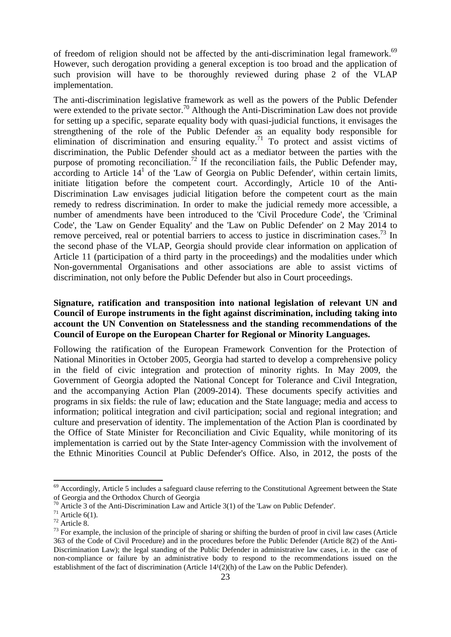of freedom of religion should not be affected by the anti-discrimination legal framework.<sup>69</sup> However, such derogation providing a general exception is too broad and the application of such provision will have to be thoroughly reviewed during phase 2 of the VLAP implementation.

The anti-discrimination legislative framework as well as the powers of the Public Defender were extended to the private sector.<sup>70</sup> Although the Anti-Discrimination Law does not provide for setting up a specific, separate equality body with quasi-judicial functions, it envisages the strengthening of the role of the Public Defender as an equality body responsible for elimination of discrimination and ensuring equality.<sup>71</sup> To protect and assist victims of discrimination, the Public Defender should act as a mediator between the parties with the purpose of promoting reconciliation.<sup>72</sup> If the reconciliation fails, the Public Defender may,  $\alpha$  according to Article  $14^1$  of the 'Law of Georgia on Public Defender', within certain limits, initiate litigation before the competent court. Accordingly, Article 10 of the Anti-Discrimination Law envisages judicial litigation before the competent court as the main remedy to redress discrimination. In order to make the judicial remedy more accessible, a number of amendments have been introduced to the 'Civil Procedure Code', the 'Criminal Code', the 'Law on Gender Equality' and the 'Law on Public Defender' on 2 May 2014 to remove perceived, real or potential barriers to access to justice in discrimination cases.<sup>73</sup> In the second phase of the VLAP, Georgia should provide clear information on application of Article 11 (participation of a third party in the proceedings) and the modalities under which Non-governmental Organisations and other associations are able to assist victims of discrimination, not only before the Public Defender but also in Court proceedings.

# **Signature, ratification and transposition into national legislation of relevant UN and Council of Europe instruments in the fight against discrimination, including taking into account the UN Convention on Statelessness and the standing recommendations of the Council of Europe on the European Charter for Regional or Minority Languages.**

Following the ratification of the European Framework Convention for the Protection of National Minorities in October 2005, Georgia had started to develop a comprehensive policy in the field of civic integration and protection of minority rights. In May 2009, the Government of Georgia adopted the National Concept for Tolerance and Civil Integration, and the accompanying Action Plan (2009-2014). These documents specify activities and programs in six fields: the rule of law; education and the State language; media and access to information; political integration and civil participation; social and regional integration; and culture and preservation of identity. The implementation of the Action Plan is coordinated by the Office of State Minister for Reconciliation and Civic Equality, while monitoring of its implementation is carried out by the State Inter-agency Commission with the involvement of the Ethnic Minorities Council at Public Defender's Office. Also, in 2012, the posts of the

 $69$  Accordingly, Article 5 includes a safeguard clause referring to the Constitutional Agreement between the State of Georgia and the Orthodox Church of Georgia

<sup>&</sup>lt;sup>70</sup> Article 3 of the Anti-Discrimination Law and Article 3(1) of the 'Law on Public Defender'.<br><sup>71</sup> Article 6(1).

 $72$  Article 8.

 $73$  For example, the inclusion of the principle of sharing or shifting the burden of proof in civil law cases (Article 363 of the Code of Civil Procedure) and in the procedures before the Public Defender (Article 8(2) of the Anti-Discrimination Law); the legal standing of the Public Defender in administrative law cases, i.e. in the case of non-compliance or failure by an administrative body to respond to the recommendations issued on the establishment of the fact of discrimination (Article  $14<sup>1</sup>(2)(h)$  of the Law on the Public Defender).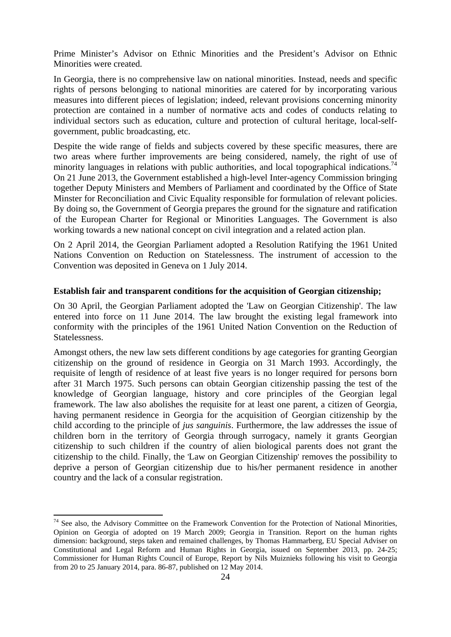Prime Minister's Advisor on Ethnic Minorities and the President's Advisor on Ethnic Minorities were created.

In Georgia, there is no comprehensive law on national minorities. Instead, needs and specific rights of persons belonging to national minorities are catered for by incorporating various measures into different pieces of legislation; indeed, relevant provisions concerning minority protection are contained in a number of normative acts and codes of conducts relating to individual sectors such as education, culture and protection of cultural heritage, local-selfgovernment, public broadcasting, etc.

Despite the wide range of fields and subjects covered by these specific measures, there are two areas where further improvements are being considered, namely, the right of use of minority languages in relations with public authorities, and local topographical indications.<sup>74</sup> On 21 June 2013, the Government established a high-level Inter-agency Commission bringing together Deputy Ministers and Members of Parliament and coordinated by the Office of State Minster for Reconciliation and Civic Equality responsible for formulation of relevant policies. By doing so, the Government of Georgia prepares the ground for the signature and ratification of the European Charter for Regional or Minorities Languages. The Government is also working towards a new national concept on civil integration and a related action plan.

On 2 April 2014, the Georgian Parliament adopted a Resolution Ratifying the 1961 United Nations Convention on Reduction on Statelessness. The instrument of accession to the Convention was deposited in Geneva on 1 July 2014.

#### **Establish fair and transparent conditions for the acquisition of Georgian citizenship;**

On 30 April, the Georgian Parliament adopted the 'Law on Georgian Citizenship'. The law entered into force on 11 June 2014. The law brought the existing legal framework into conformity with the principles of the 1961 United Nation Convention on the Reduction of Statelessness.

Amongst others, the new law sets different conditions by age categories for granting Georgian citizenship on the ground of residence in Georgia on 31 March 1993. Accordingly, the requisite of length of residence of at least five years is no longer required for persons born after 31 March 1975. Such persons can obtain Georgian citizenship passing the test of the knowledge of Georgian language, history and core principles of the Georgian legal framework. The law also abolishes the requisite for at least one parent, a citizen of Georgia, having permanent residence in Georgia for the acquisition of Georgian citizenship by the child according to the principle of *jus sanguinis*. Furthermore, the law addresses the issue of children born in the territory of Georgia through surrogacy, namely it grants Georgian citizenship to such children if the country of alien biological parents does not grant the citizenship to the child. Finally, the 'Law on Georgian Citizenship' removes the possibility to deprive a person of Georgian citizenship due to his/her permanent residence in another country and the lack of a consular registration.

**<sup>.</sup>**  $74$  See also, the Advisory Committee on the Framework Convention for the Protection of National Minorities, Opinion on Georgia of adopted on 19 March 2009; Georgia in Transition. Report on the human rights dimension: background, steps taken and remained challenges, by Thomas Hammarberg, EU Special Adviser on Constitutional and Legal Reform and Human Rights in Georgia, issued on September 2013, pp. 24-25; Commissioner for Human Rights Council of Europe, Report by Nils Muiznieks following his visit to Georgia from 20 to 25 January 2014, para. 86-87, published on 12 May 2014.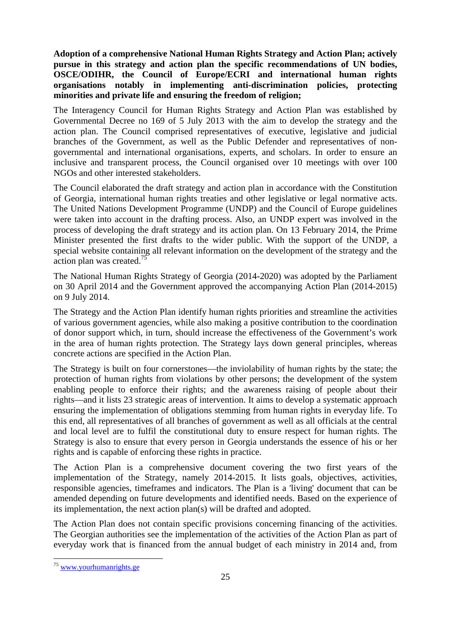**Adoption of a comprehensive National Human Rights Strategy and Action Plan; actively pursue in this strategy and action plan the specific recommendations of UN bodies, OSCE/ODIHR, the Council of Europe/ECRI and international human rights organisations notably in implementing anti-discrimination policies, protecting minorities and private life and ensuring the freedom of religion;** 

The Interagency Council for Human Rights Strategy and Action Plan was established by Governmental Decree no 169 of 5 July 2013 with the aim to develop the strategy and the action plan. The Council comprised representatives of executive, legislative and judicial branches of the Government, as well as the Public Defender and representatives of nongovernmental and international organisations, experts, and scholars. In order to ensure an inclusive and transparent process, the Council organised over 10 meetings with over 100 NGOs and other interested stakeholders.

The Council elaborated the draft strategy and action plan in accordance with the Constitution of Georgia, international human rights treaties and other legislative or legal normative acts. The United Nations Development Programme (UNDP) and the Council of Europe guidelines were taken into account in the drafting process. Also, an UNDP expert was involved in the process of developing the draft strategy and its action plan. On 13 February 2014, the Prime Minister presented the first drafts to the wider public. With the support of the UNDP, a special website containing all relevant information on the development of the strategy and the action plan was created.<sup>75</sup>

The National Human Rights Strategy of Georgia (2014-2020) was adopted by the Parliament on 30 April 2014 and the Government approved the accompanying Action Plan (2014-2015) on 9 July 2014.

The Strategy and the Action Plan identify human rights priorities and streamline the activities of various government agencies, while also making a positive contribution to the coordination of donor support which, in turn, should increase the effectiveness of the Government's work in the area of human rights protection. The Strategy lays down general principles, whereas concrete actions are specified in the Action Plan.

The Strategy is built on four cornerstones—the inviolability of human rights by the state; the protection of human rights from violations by other persons; the development of the system enabling people to enforce their rights; and the awareness raising of people about their rights—and it lists 23 strategic areas of intervention. It aims to develop a systematic approach ensuring the implementation of obligations stemming from human rights in everyday life. To this end, all representatives of all branches of government as well as all officials at the central and local level are to fulfil the constitutional duty to ensure respect for human rights. The Strategy is also to ensure that every person in Georgia understands the essence of his or her rights and is capable of enforcing these rights in practice.

The Action Plan is a comprehensive document covering the two first years of the implementation of the Strategy, namely 2014-2015. It lists goals, objectives, activities, responsible agencies, timeframes and indicators. The Plan is a 'living' document that can be amended depending on future developments and identified needs. Based on the experience of its implementation, the next action plan(s) will be drafted and adopted.

The Action Plan does not contain specific provisions concerning financing of the activities. The Georgian authorities see the implementation of the activities of the Action Plan as part of everyday work that is financed from the annual budget of each ministry in 2014 and, from

<sup>&</sup>lt;sup>75</sup> [www.yourhumanrights.ge](http://www.yourhumanrights.ge/)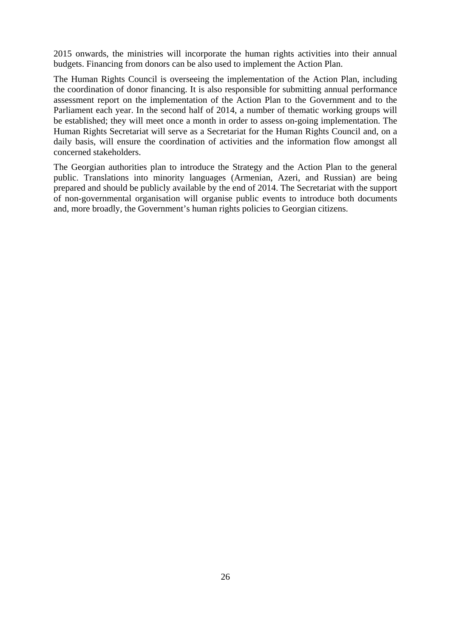2015 onwards, the ministries will incorporate the human rights activities into their annual budgets. Financing from donors can be also used to implement the Action Plan.

The Human Rights Council is overseeing the implementation of the Action Plan, including the coordination of donor financing. It is also responsible for submitting annual performance assessment report on the implementation of the Action Plan to the Government and to the Parliament each year. In the second half of 2014, a number of thematic working groups will be established; they will meet once a month in order to assess on-going implementation. The Human Rights Secretariat will serve as a Secretariat for the Human Rights Council and, on a daily basis, will ensure the coordination of activities and the information flow amongst all concerned stakeholders.

The Georgian authorities plan to introduce the Strategy and the Action Plan to the general public. Translations into minority languages (Armenian, Azeri, and Russian) are being prepared and should be publicly available by the end of 2014. The Secretariat with the support of non-governmental organisation will organise public events to introduce both documents and, more broadly, the Government's human rights policies to Georgian citizens.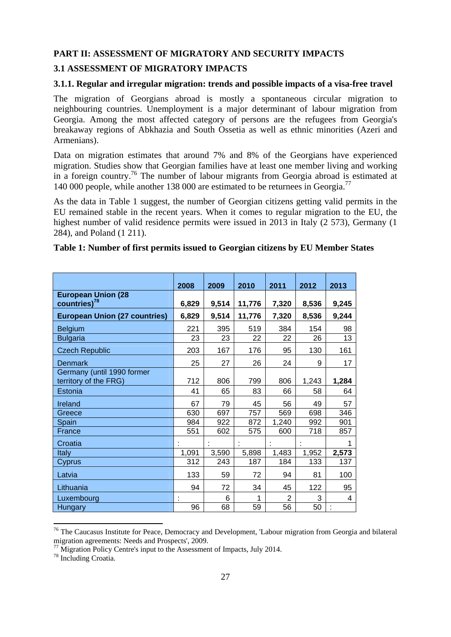#### **PART II: ASSESSMENT OF MIGRATORY AND SECURITY IMPACTS**

# **3.1 ASSESSMENT OF MIGRATORY IMPACTS**

#### **3.1.1. Regular and irregular migration: trends and possible impacts of a visa-free travel**

The migration of Georgians abroad is mostly a spontaneous circular migration to neighbouring countries. Unemployment is a major determinant of labour migration from Georgia. Among the most affected category of persons are the refugees from Georgia's breakaway regions of Abkhazia and South Ossetia as well as ethnic minorities (Azeri and Armenians).

Data on migration estimates that around 7% and 8% of the Georgians have experienced migration. Studies show that Georgian families have at least one member living and working in a foreign country.<sup>76</sup> The number of labour migrants from Georgia abroad is estimated at 140 000 people, while another 138 000 are estimated to be returnees in Georgia.<sup>77</sup>

As the data in Table 1 suggest, the number of Georgian citizens getting valid permits in the EU remained stable in the recent years. When it comes to regular migration to the EU, the highest number of valid residence permits were issued in 2013 in Italy (2 573), Germany (1 284), and Poland (1 211).

|                                                       | 2008  | 2009  | 2010   | 2011  | 2012  | 2013  |
|-------------------------------------------------------|-------|-------|--------|-------|-------|-------|
| <b>European Union (28</b><br>countries) <sup>78</sup> | 6,829 | 9,514 | 11,776 | 7,320 | 8,536 | 9,245 |
| <b>European Union (27 countries)</b>                  | 6,829 | 9,514 | 11,776 | 7,320 | 8,536 | 9,244 |
| <b>Belgium</b>                                        | 221   | 395   | 519    | 384   | 154   | 98    |
| <b>Bulgaria</b>                                       | 23    | 23    | 22     | 22    | 26    | 13    |
| <b>Czech Republic</b>                                 | 203   | 167   | 176    | 95    | 130   | 161   |
| Denmark                                               | 25    | 27    | 26     | 24    | 9     | 17    |
| Germany (until 1990 former<br>territory of the FRG)   | 712   | 806   | 799    | 806   | 1,243 | 1,284 |
| Estonia                                               | 41    | 65    | 83     | 66    | 58    | 64    |
| Ireland                                               | 67    | 79    | 45     | 56    | 49    | 57    |
| Greece                                                | 630   | 697   | 757    | 569   | 698   | 346   |
| Spain                                                 | 984   | 922   | 872    | 1,240 | 992   | 901   |
| France                                                | 551   | 602   | 575    | 600   | 718   | 857   |
| Croatia                                               |       |       |        |       |       |       |
| Italy                                                 | 1,091 | 3,590 | 5,898  | 1,483 | 1,952 | 2,573 |
| Cyprus                                                | 312   | 243   | 187    | 184   | 133   | 137   |
| Latvia                                                | 133   | 59    | 72     | 94    | 81    | 100   |
| Lithuania                                             | 94    | 72    | 34     | 45    | 122   | 95    |
| Luxembourg                                            |       | 6     |        | 2     | 3     | 4     |
| <b>Hungary</b>                                        | 96    | 68    | 59     | 56    | 50    | t     |

#### **Table 1: Number of first permits issued to Georgian citizens by EU Member States**

<sup>&</sup>lt;sup>76</sup> The Caucasus Institute for Peace, Democracy and Development, 'Labour migration from Georgia and bilateral migration agreements: Needs and Prospects', 2009.<br><sup>77</sup> Migration Policy Centre's input to the Assessment of Impacts, July 2014.

<sup>78</sup> Including Croatia.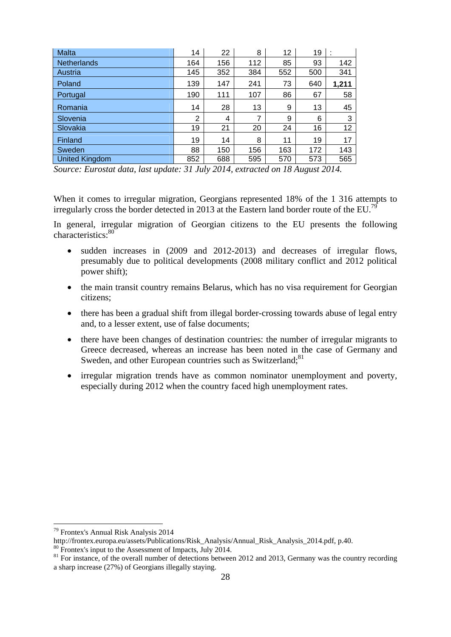| <b>Malta</b>       | 14  | 22  | 8   | 12  | 19  | ٠<br>÷. |
|--------------------|-----|-----|-----|-----|-----|---------|
| <b>Netherlands</b> | 164 | 156 | 112 | 85  | 93  | 142     |
| Austria            | 145 | 352 | 384 | 552 | 500 | 341     |
| Poland             | 139 | 147 | 241 | 73  | 640 | 1,211   |
| Portugal           | 190 | 111 | 107 | 86  | 67  | 58      |
| Romania            | 14  | 28  | 13  | 9   | 13  | 45      |
| Slovenia           | 2   | 4   |     | 9   | 6   | 3       |
| Slovakia           | 19  | 21  | 20  | 24  | 16  | 12      |
| Finland            | 19  | 14  | 8   | 11  | 19  | 17      |
| Sweden             | 88  | 150 | 156 | 163 | 172 | 143     |
| United Kingdom     | 852 | 688 | 595 | 570 | 573 | 565     |

*Source: Eurostat data, last update: 31 July 2014, extracted on 18 August 2014.* 

When it comes to irregular migration, Georgians represented 18% of the 1 316 attempts to irregularly cross the border detected in 2013 at the Eastern land border route of the EU.<sup>79</sup>

In general, irregular migration of Georgian citizens to the EU presents the following characteristics:<sup>80</sup>

- sudden increases in (2009 and 2012-2013) and decreases of irregular flows, presumably due to political developments (2008 military conflict and 2012 political power shift);
- the main transit country remains Belarus, which has no visa requirement for Georgian citizens;
- there has been a gradual shift from illegal border-crossing towards abuse of legal entry and, to a lesser extent, use of false documents;
- there have been changes of destination countries: the number of irregular migrants to Greece decreased, whereas an increase has been noted in the case of Germany and Sweden, and other European countries such as Switzerland;<sup>81</sup>
- irregular migration trends have as common nominator unemployment and poverty, especially during 2012 when the country faced high unemployment rates.

<sup>79</sup> Frontex's Annual Risk Analysis 2014

http://frontex.europa.eu/assets/Publications/Risk\_Analysis/Annual\_Risk\_Analysis\_2014.pdf, p.40. 80 Frontex's input to the Assessment of Impacts, July 2014.

<sup>&</sup>lt;sup>81</sup> For instance, of the overall number of detections between 2012 and 2013, Germany was the country recording a sharp increase (27%) of Georgians illegally staying.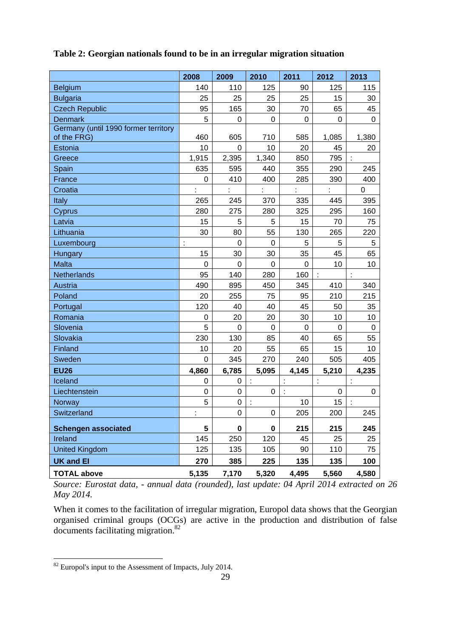|                                      | 2008             | 2009        | 2010        | 2011        | 2012                 | 2013        |
|--------------------------------------|------------------|-------------|-------------|-------------|----------------------|-------------|
| Belgium                              | 140              | 110         | 125         | 90          | 125                  | 115         |
| <b>Bulgaria</b>                      | 25               | 25          | 25          | 25          | 15                   | 30          |
| <b>Czech Republic</b>                | 95               | 165         | 30          | 70          | 65                   | 45          |
| <b>Denmark</b>                       | 5                | $\Omega$    | $\mathbf 0$ | 0           | 0                    | $\Omega$    |
| Germany (until 1990 former territory |                  |             |             |             |                      |             |
| of the FRG)                          | 460              | 605         | 710         | 585         | 1,085                | 1,380       |
| Estonia                              | 10               | 0           | 10          | 20          | 45                   | 20          |
| Greece                               | 1,915            | 2,395       | 1,340       | 850         | 795                  | ÷           |
| Spain                                | 635              | 595         | 440         | 355         | 290                  | 245         |
| France                               | $\boldsymbol{0}$ | 410         | 400         | 285         | 390                  | 400         |
| Croatia                              | t                | ÷           | t           | t           | t                    | 0           |
| Italy                                | 265              | 245         | 370         | 335         | 445                  | 395         |
| Cyprus                               | 280              | 275         | 280         | 325         | 295                  | 160         |
| Latvia                               | 15               | 5           | 5           | 15          | 70                   | 75          |
| Lithuania                            | 30               | 80          | 55          | 130         | 265                  | 220         |
| Luxembourg                           | ċ                | 0           | 0           | 5           | 5                    | 5           |
| Hungary                              | 15               | 30          | 30          | 35          | 45                   | 65          |
| <b>Malta</b>                         | $\mathbf 0$      | 0           | $\mathbf 0$ | $\mathbf 0$ | 10                   | 10          |
| Netherlands                          | 95               | 140         | 280         | 160         |                      |             |
| Austria                              | 490              | 895         | 450         | 345         | 410                  | 340         |
| Poland                               | 20               | 255         | 75          | 95          | 210                  | 215         |
| Portugal                             | 120              | 40          | 40          | 45          | 50                   | 35          |
| Romania                              | 0                | 20          | 20          | 30          | 10                   | 10          |
| Slovenia                             | 5                | $\mathbf 0$ | $\mathbf 0$ | $\mathbf 0$ | $\mathbf 0$          | $\mathbf 0$ |
| Slovakia                             | 230              | 130         | 85          | 40          | 65                   | 55          |
| Finland                              | 10               | 20          | 55          | 65          | 15                   | 10          |
| Sweden                               | $\mathbf 0$      | 345         | 270         | 240         | 505                  | 405         |
| <b>EU26</b>                          | 4,860            | 6,785       | 5,095       | 4,145       | 5,210                | 4,235       |
| Iceland                              | 0                | 0           | ÷           |             | $\ddot{\phantom{a}}$ |             |
| Liechtenstein                        | $\mathbf 0$      | $\mathbf 0$ | 0           |             | 0                    | 0           |
| Norway                               | 5                | 0           |             | 10          | 15                   |             |
| Switzerland                          | ł,               | 0           | $\pmb{0}$   | 205         | 200                  | 245         |
| <b>Schengen associated</b>           | 5                | 0           | $\mathbf 0$ | 215         | 215                  | 245         |
| Ireland                              | 145              | 250         | 120         | 45          | 25                   | 25          |
| <b>United Kingdom</b>                | 125              | 135         | 105         | 90          | 110                  | 75          |
| <b>UK and EI</b>                     | 270              | 385         | 225         | 135         | 135                  | 100         |
| <b>TOTAL above</b>                   | 5,135            | 7,170       | 5,320       | 4,495       | 5,560                | 4,580       |

# **Table 2: Georgian nationals found to be in an irregular migration situation**

*Source: Eurostat data, - annual data (rounded), last update: 04 April 2014 extracted on 26 May 2014.* 

When it comes to the facilitation of irregular migration, Europol data shows that the Georgian organised criminal groups (OCGs) are active in the production and distribution of false documents facilitating migration.<sup>82</sup>

 $82$  Europol's input to the Assessment of Impacts, July 2014.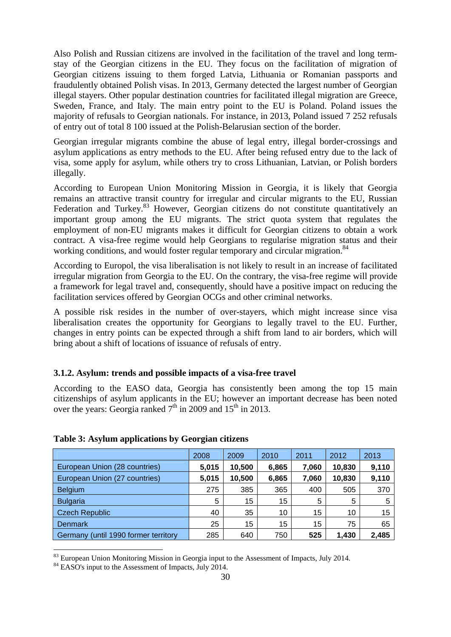Also Polish and Russian citizens are involved in the facilitation of the travel and long termstay of the Georgian citizens in the EU. They focus on the facilitation of migration of Georgian citizens issuing to them forged Latvia, Lithuania or Romanian passports and fraudulently obtained Polish visas. In 2013, Germany detected the largest number of Georgian illegal stayers. Other popular destination countries for facilitated illegal migration are Greece, Sweden, France, and Italy. The main entry point to the EU is Poland. Poland issues the majority of refusals to Georgian nationals. For instance, in 2013, Poland issued 7 252 refusals of entry out of total 8 100 issued at the Polish-Belarusian section of the border.

Georgian irregular migrants combine the abuse of legal entry, illegal border-crossings and asylum applications as entry methods to the EU. After being refused entry due to the lack of visa, some apply for asylum, while others try to cross Lithuanian, Latvian, or Polish borders illegally.

According to European Union Monitoring Mission in Georgia, it is likely that Georgia remains an attractive transit country for irregular and circular migrants to the EU, Russian Federation and Turkey.<sup>83</sup> However, Georgian citizens do not constitute quantitatively an important group among the EU migrants. The strict quota system that regulates the employment of non-EU migrants makes it difficult for Georgian citizens to obtain a work contract. A visa-free regime would help Georgians to regularise migration status and their working conditions, and would foster regular temporary and circular migration.<sup>84</sup>

According to Europol, the visa liberalisation is not likely to result in an increase of facilitated irregular migration from Georgia to the EU. On the contrary, the visa-free regime will provide a framework for legal travel and, consequently, should have a positive impact on reducing the facilitation services offered by Georgian OCGs and other criminal networks.

A possible risk resides in the number of over-stayers, which might increase since visa liberalisation creates the opportunity for Georgians to legally travel to the EU. Further, changes in entry points can be expected through a shift from land to air borders, which will bring about a shift of locations of issuance of refusals of entry.

# **3.1.2. Asylum: trends and possible impacts of a visa-free travel**

According to the EASO data, Georgia has consistently been among the top 15 main citizenships of asylum applicants in the EU; however an important decrease has been noted over the years: Georgia ranked  $7<sup>th</sup>$  in 2009 and 15<sup>th</sup> in 2013.

|                                      | 2008  | 2009   | 2010  | 2011  | 2012   | 2013  |
|--------------------------------------|-------|--------|-------|-------|--------|-------|
| European Union (28 countries)        | 5,015 | 10,500 | 6,865 | 7,060 | 10,830 | 9,110 |
| European Union (27 countries)        | 5,015 | 10,500 | 6,865 | 7,060 | 10,830 | 9,110 |
| <b>Belgium</b>                       | 275   | 385    | 365   | 400   | 505    | 370   |
| <b>Bulgaria</b>                      | 5     | 15     | 15    | 5     | 5      | 5     |
| <b>Czech Republic</b>                | 40    | 35     | 10    | 15    | 10     | 15    |
| Denmark                              | 25    | 15     | 15    | 15    | 75     | 65    |
| Germany (until 1990 former territory | 285   | 640    | 750   | 525   | 1,430  | 2,485 |

# **Table 3: Asylum applications by Georgian citizens**

 $83$  European Union Monitoring Mission in Georgia input to the Assessment of Impacts, July 2014.

<sup>&</sup>lt;sup>84</sup> EASO's input to the Assessment of Impacts, July 2014.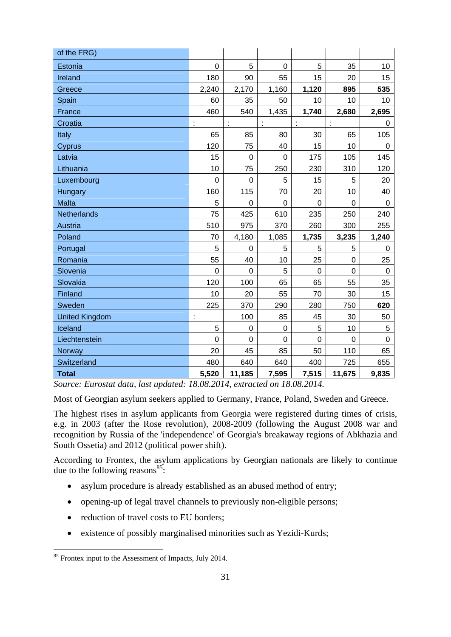| of the FRG)           |                      |                  |                      |             |             |             |
|-----------------------|----------------------|------------------|----------------------|-------------|-------------|-------------|
| Estonia               | $\overline{0}$       | 5                | $\mathbf 0$          | 5           | 35          | 10          |
| Ireland               | 180                  | 90               | 55                   | 15          | 20          | 15          |
| Greece                | 2,240                | 2,170            | 1,160                | 1,120       | 895         | 535         |
| Spain                 | 60                   | 35               | 50                   | 10          | 10          | 10          |
| France                | 460                  | 540              | 1,435                | 1,740       | 2,680       | 2,695       |
| Croatia               | t                    | $\ddot{\cdot}$   | $\ddot{\phantom{a}}$ | ÷           | ÷           | 0           |
| Italy                 | 65                   | 85               | 80                   | 30          | 65          | 105         |
| Cyprus                | 120                  | 75               | 40                   | 15          | 10          | 0           |
| Latvia                | 15                   | $\overline{0}$   | $\mathbf 0$          | 175         | 105         | 145         |
| Lithuania             | 10                   | 75               | 250                  | 230         | 310         | 120         |
| Luxembourg            | $\mathbf 0$          | $\boldsymbol{0}$ | 5                    | 15          | 5           | 20          |
| Hungary               | 160                  | 115              | 70                   | 20          | 10          | 40          |
| <b>Malta</b>          | 5                    | $\mathbf 0$      | $\overline{0}$       | $\mathbf 0$ | 0           | $\Omega$    |
| <b>Netherlands</b>    | 75                   | 425              | 610                  | 235         | 250         | 240         |
| <b>Austria</b>        | 510                  | 975              | 370                  | 260         | 300         | 255         |
| Poland                | 70                   | 4,180            | 1,085                | 1,735       | 3,235       | 1,240       |
| Portugal              | 5                    | 0                | 5                    | 5           | 5           | 0           |
| Romania               | 55                   | 40               | 10                   | 25          | $\mathbf 0$ | 25          |
| Slovenia              | $\Omega$             | $\mathbf 0$      | 5                    | $\mathbf 0$ | 0           | 0           |
| Slovakia              | 120                  | 100              | 65                   | 65          | 55          | 35          |
| Finland               | 10                   | 20               | 55                   | 70          | 30          | 15          |
| Sweden                | 225                  | 370              | 290                  | 280         | 750         | 620         |
| <b>United Kingdom</b> | $\ddot{\phantom{a}}$ | 100              | 85                   | 45          | 30          | 50          |
| Iceland               | 5                    | $\mathbf 0$      | $\mathbf 0$          | 5           | 10          | 5           |
| Liechtenstein         | $\overline{0}$       | 0                | 0                    | 0           | 0           | $\mathbf 0$ |
| Norway                | 20                   | 45               | 85                   | 50          | 110         | 65          |
| Switzerland           | 480                  | 640              | 640                  | 400         | 725         | 655         |
| <b>Total</b>          | 5,520                | 11,185           | 7,595                | 7,515       | 11,675      | 9,835       |

*Source: Eurostat data, last updated: 18.08.2014, extracted on 18.08.2014.*

Most of Georgian asylum seekers applied to Germany, France, Poland, Sweden and Greece.

The highest rises in asylum applicants from Georgia were registered during times of crisis, e.g. in 2003 (after the Rose revolution), 2008-2009 (following the August 2008 war and recognition by Russia of the 'independence' of Georgia's breakaway regions of Abkhazia and South Ossetia) and 2012 (political power shift).

According to Frontex, the asylum applications by Georgian nationals are likely to continue due to the following reasons $^{85}$ :

- asylum procedure is already established as an abused method of entry;
- opening-up of legal travel channels to previously non-eligible persons;
- reduction of travel costs to EU borders:
- existence of possibly marginalised minorities such as Yezidi-Kurds;

<sup>&</sup>lt;sup>85</sup> Frontex input to the Assessment of Impacts, July 2014.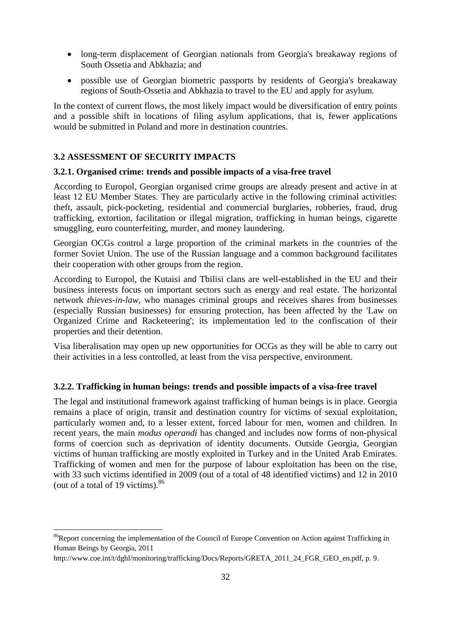- long-term displacement of Georgian nationals from Georgia's breakaway regions of South Ossetia and Abkhazia; and
- possible use of Georgian biometric passports by residents of Georgia's breakaway regions of South-Ossetia and Abkhazia to travel to the EU and apply for asylum.

In the context of current flows, the most likely impact would be diversification of entry points and a possible shift in locations of filing asylum applications, that is, fewer applications would be submitted in Poland and more in destination countries.

# **3.2 ASSESSMENT OF SECURITY IMPACTS**

**.** 

#### **3.2.1. Organised crime: trends and possible impacts of a visa-free travel**

According to Europol, Georgian organised crime groups are already present and active in at least 12 EU Member States. They are particularly active in the following criminal activities: theft, assault, pick-pocketing, residential and commercial burglaries, robberies, fraud, drug trafficking, extortion, facilitation or illegal migration, trafficking in human beings, cigarette smuggling, euro counterfeiting, murder, and money laundering.

Georgian OCGs control a large proportion of the criminal markets in the countries of the former Soviet Union. The use of the Russian language and a common background facilitates their cooperation with other groups from the region.

According to Europol, the Kutaisi and Tbilisi clans are well-established in the EU and their business interests focus on important sectors such as energy and real estate. The horizontal network *thieves-in-law*, who manages criminal groups and receives shares from businesses (especially Russian businesses) for ensuring protection, has been affected by the 'Law on Organized Crime and Racketeering'; its implementation led to the confiscation of their properties and their detention.

Visa liberalisation may open up new opportunities for OCGs as they will be able to carry out their activities in a less controlled, at least from the visa perspective, environment.

#### **3.2.2. Trafficking in human beings: trends and possible impacts of a visa-free travel**

The legal and institutional framework against trafficking of human beings is in place. Georgia remains a place of origin, transit and destination country for victims of sexual exploitation, particularly women and, to a lesser extent, forced labour for men, women and children. In recent years, the main *modus operandi* has changed and includes now forms of non-physical forms of coercion such as deprivation of identity documents. Outside Georgia, Georgian victims of human trafficking are mostly exploited in Turkey and in the United Arab Emirates. Trafficking of women and men for the purpose of labour exploitation has been on the rise, with 33 such victims identified in 2009 (out of a total of 48 identified victims) and 12 in 2010 (out of a total of 19 victims).<sup>86</sup>

<sup>&</sup>lt;sup>86</sup>Report concerning the implementation of the Council of Europe Convention on Action against Trafficking in Human Beings by Georgia, 2011

[http://www.coe.int/t/dghl/monitorin](http://www.coe.int/t/dghl/monitoring/trafficking/Docs/Reports/GRETA_2011_24_FGR_GEO_en.pdf)g/trafficking/Docs/Reports/GRETA 2011 24 FGR GEO en.pdf, p. 9.